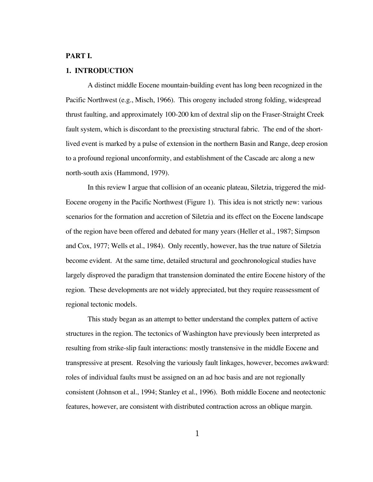# **PART I.**

# **1. INTRODUCTION**

A distinct middle Eocene mountain-building event has long been recognized in the Pacific Northwest (e.g., Misch, 1966). This orogeny included strong folding, widespread thrust faulting, and approximately 100-200 km of dextral slip on the Fraser-Straight Creek fault system, which is discordant to the preexisting structural fabric. The end of the shortlived event is marked by a pulse of extension in the northern Basin and Range, deep erosion to a profound regional unconformity, and establishment of the Cascade arc along a new north-south axis (Hammond, 1979).

In this review I argue that collision of an oceanic plateau, Siletzia, triggered the mid-Eocene orogeny in the Pacific Northwest (Figure 1). This idea is not strictly new: various scenarios for the formation and accretion of Siletzia and its effect on the Eocene landscape of the region have been offered and debated for many years (Heller et al., 1987; Simpson and Cox, 1977; Wells et al., 1984). Only recently, however, has the true nature of Siletzia become evident. At the same time, detailed structural and geochronological studies have largely disproved the paradigm that transtension dominated the entire Eocene history of the region. These developments are not widely appreciated, but they require reassessment of regional tectonic models.

This study began as an attempt to better understand the complex pattern of active structures in the region. The tectonics of Washington have previously been interpreted as resulting from strike-slip fault interactions: mostly transtensive in the middle Eocene and transpressive at present. Resolving the variously fault linkages, however, becomes awkward: roles of individual faults must be assigned on an ad hoc basis and are not regionally consistent (Johnson et al., 1994; Stanley et al., 1996). Both middle Eocene and neotectonic features, however, are consistent with distributed contraction across an oblique margin.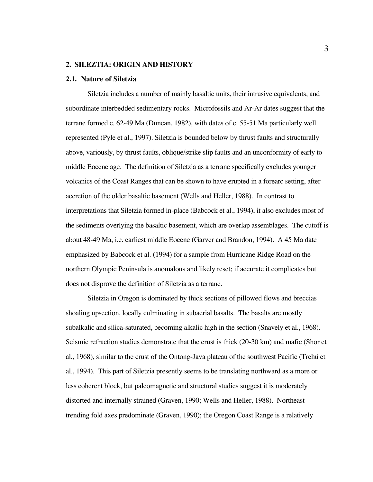### **2. SILEZTIA: ORIGIN AND HISTORY**

#### **2.1. Nature of Siletzia**

Siletzia includes a number of mainly basaltic units, their intrusive equivalents, and subordinate interbedded sedimentary rocks. Microfossils and Ar-Ar dates suggest that the terrane formed c. 62-49 Ma (Duncan, 1982), with dates of c. 55-51 Ma particularly well represented (Pyle et al., 1997). Siletzia is bounded below by thrust faults and structurally above, variously, by thrust faults, oblique/strike slip faults and an unconformity of early to middle Eocene age. The definition of Siletzia as a terrane specifically excludes younger volcanics of the Coast Ranges that can be shown to have erupted in a forearc setting, after accretion of the older basaltic basement (Wells and Heller, 1988). In contrast to interpretations that Siletzia formed in-place (Babcock et al., 1994), it also excludes most of the sediments overlying the basaltic basement, which are overlap assemblages. The cutoff is about 48-49 Ma, i.e. earliest middle Eocene (Garver and Brandon, 1994). A 45 Ma date emphasized by Babcock et al. (1994) for a sample from Hurricane Ridge Road on the northern Olympic Peninsula is anomalous and likely reset; if accurate it complicates but does not disprove the definition of Siletzia as a terrane.

Siletzia in Oregon is dominated by thick sections of pillowed flows and breccias shoaling upsection, locally culminating in subaerial basalts. The basalts are mostly subalkalic and silica-saturated, becoming alkalic high in the section (Snavely et al., 1968). Seismic refraction studies demonstrate that the crust is thick (20-30 km) and mafic (Shor et al., 1968), similar to the crust of the Ontong-Java plateau of the southwest Pacific (Trehú et al., 1994). This part of Siletzia presently seems to be translating northward as a more or less coherent block, but paleomagnetic and structural studies suggest it is moderately distorted and internally strained (Graven, 1990; Wells and Heller, 1988). Northeasttrending fold axes predominate (Graven, 1990); the Oregon Coast Range is a relatively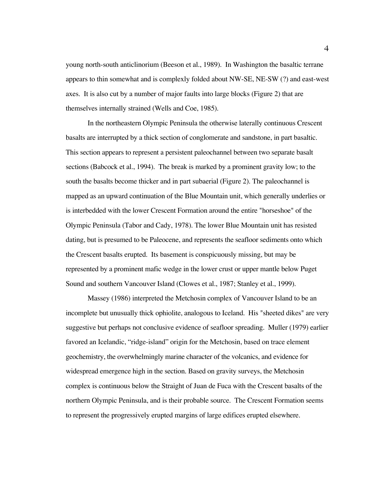young north-south anticlinorium (Beeson et al., 1989). In Washington the basaltic terrane appears to thin somewhat and is complexly folded about NW-SE, NE-SW (?) and east-west axes. It is also cut by a number of major faults into large blocks (Figure 2) that are themselves internally strained (Wells and Coe, 1985).

In the northeastern Olympic Peninsula the otherwise laterally continuous Crescent basalts are interrupted by a thick section of conglomerate and sandstone, in part basaltic. This section appears to represent a persistent paleochannel between two separate basalt sections (Babcock et al., 1994). The break is marked by a prominent gravity low; to the south the basalts become thicker and in part subaerial (Figure 2). The paleochannel is mapped as an upward continuation of the Blue Mountain unit, which generally underlies or is interbedded with the lower Crescent Formation around the entire "horseshoe" of the Olympic Peninsula (Tabor and Cady, 1978). The lower Blue Mountain unit has resisted dating, but is presumed to be Paleocene, and represents the seafloor sediments onto which the Crescent basalts erupted. Its basement is conspicuously missing, but may be represented by a prominent mafic wedge in the lower crust or upper mantle below Puget Sound and southern Vancouver Island (Clowes et al., 1987; Stanley et al., 1999).

Massey (1986) interpreted the Metchosin complex of Vancouver Island to be an incomplete but unusually thick ophiolite, analogous to Iceland. His "sheeted dikes" are very suggestive but perhaps not conclusive evidence of seafloor spreading. Muller (1979) earlier favored an Icelandic, "ridge-island" origin for the Metchosin, based on trace element geochemistry, the overwhelmingly marine character of the volcanics, and evidence for widespread emergence high in the section. Based on gravity surveys, the Metchosin complex is continuous below the Straight of Juan de Fuca with the Crescent basalts of the northern Olympic Peninsula, and is their probable source. The Crescent Formation seems to represent the progressively erupted margins of large edifices erupted elsewhere.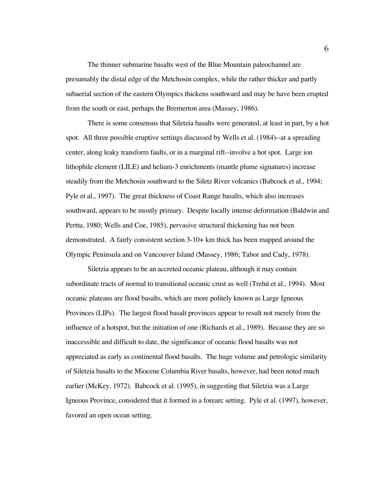The thinner submarine basalts west of the Blue Mountain paleochannel are presumably the distal edge of the Metchosin complex, while the rather thicker and partly subaerial section of the eastern Olympics thickens southward and may be have been erupted from the south or east, perhaps the Bremerton area (Massey, 1986).

There is some consensus that Siletzia basalts were generated, at least in part, by a hot spot. All three possible eruptive settings discussed by Wells et al. (1984)--at a spreading center, along leaky transform faults, or in a marginal rift--involve a hot spot. Large ion lithophile element (LILE) and helium-3 enrichments (mantle plume signatures) increase steadily from the Metchosin southward to the Siletz River volcanics (Babcock et al., 1994; Pyle et al., 1997). The great thickness of Coast Range basalts, which also increases southward, appears to be mostly primary. Despite locally intense deformation (Baldwin and Perttu, 1980; Wells and Coe, 1985), pervasive structural thickening has not been demonstrated. A fairly consistent section 3-10+ km thick has been mapped around the Olympic Peninsula and on Vancouver Island (Massey, 1986; Tabor and Cady, 1978).

Siletzia appears to be an accreted oceanic plateau, although it may contain subordinate tracts of normal to transitional oceanic crust as well (Trehú et al., 1994). Most oceanic plateaus are flood basalts, which are more politely known as Large Igneous Provinces (LIPs). The largest flood basalt provinces appear to result not merely from the influence of a hotspot, but the initiation of one (Richards et al., 1989). Because they are so inaccessible and difficult to date, the significance of oceanic flood basalts was not appreciated as early as continental flood basalts. The huge volume and petrologic similarity of Siletzia basalts to the Miocene Columbia River basalts, however, had been noted much earlier (McKey, 1972). Babcock et al. (1995), in suggesting that Siletzia was a Large Igneous Province, considered that it formed in a forearc setting. Pyle et al. (1997), however, favored an open ocean setting.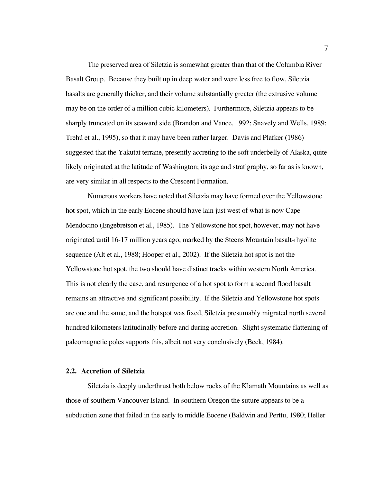The preserved area of Siletzia is somewhat greater than that of the Columbia River Basalt Group. Because they built up in deep water and were less free to flow, Siletzia basalts are generally thicker, and their volume substantially greater (the extrusive volume may be on the order of a million cubic kilometers). Furthermore, Siletzia appears to be sharply truncated on its seaward side (Brandon and Vance, 1992; Snavely and Wells, 1989; Trehú et al., 1995), so that it may have been rather larger. Davis and Plafker (1986) suggested that the Yakutat terrane, presently accreting to the soft underbelly of Alaska, quite likely originated at the latitude of Washington; its age and stratigraphy, so far as is known, are very similar in all respects to the Crescent Formation.

Numerous workers have noted that Siletzia may have formed over the Yellowstone hot spot, which in the early Eocene should have lain just west of what is now Cape Mendocino (Engebretson et al., 1985). The Yellowstone hot spot, however, may not have originated until 16-17 million years ago, marked by the Steens Mountain basalt-rhyolite sequence (Alt et al., 1988; Hooper et al., 2002). If the Siletzia hot spot is not the Yellowstone hot spot, the two should have distinct tracks within western North America. This is not clearly the case, and resurgence of a hot spot to form a second flood basalt remains an attractive and significant possibility. If the Siletzia and Yellowstone hot spots are one and the same, and the hotspot was fixed, Siletzia presumably migrated north several hundred kilometers latitudinally before and during accretion. Slight systematic flattening of paleomagnetic poles supports this, albeit not very conclusively (Beck, 1984).

# **2.2. Accretion of Siletzia**

Siletzia is deeply underthrust both below rocks of the Klamath Mountains as well as those of southern Vancouver Island. In southern Oregon the suture appears to be a subduction zone that failed in the early to middle Eocene (Baldwin and Perttu, 1980; Heller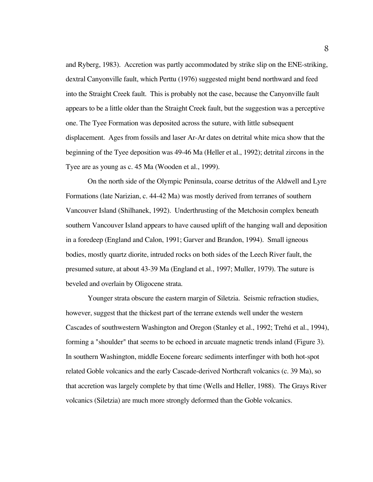and Ryberg, 1983). Accretion was partly accommodated by strike slip on the ENE-striking, dextral Canyonville fault, which Perttu (1976) suggested might bend northward and feed into the Straight Creek fault. This is probably not the case, because the Canyonville fault appears to be a little older than the Straight Creek fault, but the suggestion was a perceptive one. The Tyee Formation was deposited across the suture, with little subsequent displacement. Ages from fossils and laser Ar-Ar dates on detrital white mica show that the beginning of the Tyee deposition was 49-46 Ma (Heller et al., 1992); detrital zircons in the Tyee are as young as c. 45 Ma (Wooden et al., 1999).

On the north side of the Olympic Peninsula, coarse detritus of the Aldwell and Lyre Formations (late Narizian, c. 44-42 Ma) was mostly derived from terranes of southern Vancouver Island (Shilhanek, 1992). Underthrusting of the Metchosin complex beneath southern Vancouver Island appears to have caused uplift of the hanging wall and deposition in a foredeep (England and Calon, 1991; Garver and Brandon, 1994). Small igneous bodies, mostly quartz diorite, intruded rocks on both sides of the Leech River fault, the presumed suture, at about 43-39 Ma (England et al., 1997; Muller, 1979). The suture is beveled and overlain by Oligocene strata.

Younger strata obscure the eastern margin of Siletzia. Seismic refraction studies, however, suggest that the thickest part of the terrane extends well under the western Cascades of southwestern Washington and Oregon (Stanley et al., 1992; Trehú et al., 1994), forming a "shoulder" that seems to be echoed in arcuate magnetic trends inland (Figure 3). In southern Washington, middle Eocene forearc sediments interfinger with both hot-spot related Goble volcanics and the early Cascade-derived Northcraft volcanics (c. 39 Ma), so that accretion was largely complete by that time (Wells and Heller, 1988). The Grays River volcanics (Siletzia) are much more strongly deformed than the Goble volcanics.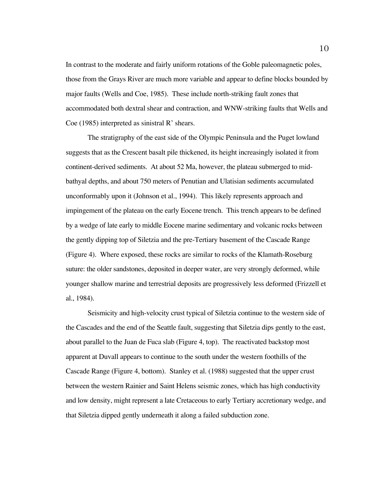In contrast to the moderate and fairly uniform rotations of the Goble paleomagnetic poles, those from the Grays River are much more variable and appear to define blocks bounded by major faults (Wells and Coe, 1985). These include north-striking fault zones that accommodated both dextral shear and contraction, and WNW-striking faults that Wells and Coe (1985) interpreted as sinistral R' shears.

The stratigraphy of the east side of the Olympic Peninsula and the Puget lowland suggests that as the Crescent basalt pile thickened, its height increasingly isolated it from continent-derived sediments. At about 52 Ma, however, the plateau submerged to midbathyal depths, and about 750 meters of Penutian and Ulatisian sediments accumulated unconformably upon it (Johnson et al., 1994). This likely represents approach and impingement of the plateau on the early Eocene trench. This trench appears to be defined by a wedge of late early to middle Eocene marine sedimentary and volcanic rocks between the gently dipping top of Siletzia and the pre-Tertiary basement of the Cascade Range (Figure 4). Where exposed, these rocks are similar to rocks of the Klamath-Roseburg suture: the older sandstones, deposited in deeper water, are very strongly deformed, while younger shallow marine and terrestrial deposits are progressively less deformed (Frizzell et al., 1984).

Seismicity and high-velocity crust typical of Siletzia continue to the western side of the Cascades and the end of the Seattle fault, suggesting that Siletzia dips gently to the east, about parallel to the Juan de Fuca slab (Figure 4, top). The reactivated backstop most apparent at Duvall appears to continue to the south under the western foothills of the Cascade Range (Figure 4, bottom). Stanley et al. (1988) suggested that the upper crust between the western Rainier and Saint Helens seismic zones, which has high conductivity and low density, might represent a late Cretaceous to early Tertiary accretionary wedge, and that Siletzia dipped gently underneath it along a failed subduction zone.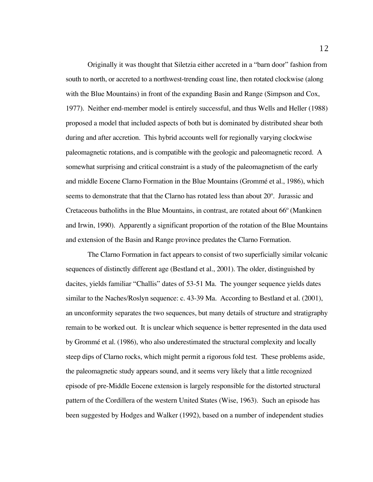Originally it was thought that Siletzia either accreted in a "barn door" fashion from south to north, or accreted to a northwest-trending coast line, then rotated clockwise (along with the Blue Mountains) in front of the expanding Basin and Range (Simpson and Cox, 1977). Neither end-member model is entirely successful, and thus Wells and Heller (1988) proposed a model that included aspects of both but is dominated by distributed shear both during and after accretion. This hybrid accounts well for regionally varying clockwise paleomagnetic rotations, and is compatible with the geologic and paleomagnetic record. A somewhat surprising and critical constraint is a study of the paleomagnetism of the early and middle Eocene Clarno Formation in the Blue Mountains (Grommé et al., 1986), which seems to demonstrate that that the Clarno has rotated less than about 20º. Jurassic and Cretaceous batholiths in the Blue Mountains, in contrast, are rotated about 66º (Mankinen and Irwin, 1990). Apparently a significant proportion of the rotation of the Blue Mountains and extension of the Basin and Range province predates the Clarno Formation.

The Clarno Formation in fact appears to consist of two superficially similar volcanic sequences of distinctly different age (Bestland et al., 2001). The older, distinguished by dacites, yields familiar "Challis" dates of 53-51 Ma. The younger sequence yields dates similar to the Naches/Roslyn sequence: c. 43-39 Ma. According to Bestland et al. (2001), an unconformity separates the two sequences, but many details of structure and stratigraphy remain to be worked out. It is unclear which sequence is better represented in the data used by Grommé et al. (1986), who also underestimated the structural complexity and locally steep dips of Clarno rocks, which might permit a rigorous fold test. These problems aside, the paleomagnetic study appears sound, and it seems very likely that a little recognized episode of pre-Middle Eocene extension is largely responsible for the distorted structural pattern of the Cordillera of the western United States (Wise, 1963). Such an episode has been suggested by Hodges and Walker (1992), based on a number of independent studies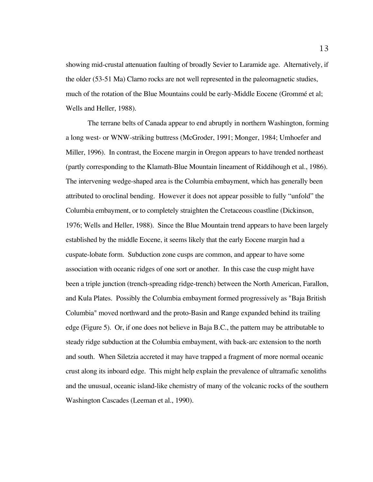showing mid-crustal attenuation faulting of broadly Sevier to Laramide age. Alternatively, if the older (53-51 Ma) Clarno rocks are not well represented in the paleomagnetic studies, much of the rotation of the Blue Mountains could be early-Middle Eocene (Grommé et al; Wells and Heller, 1988).

The terrane belts of Canada appear to end abruptly in northern Washington, forming a long west- or WNW-striking buttress (McGroder, 1991; Monger, 1984; Umhoefer and Miller, 1996). In contrast, the Eocene margin in Oregon appears to have trended northeast (partly corresponding to the Klamath-Blue Mountain lineament of Riddihough et al., 1986). The intervening wedge-shaped area is the Columbia embayment, which has generally been attributed to oroclinal bending. However it does not appear possible to fully "unfold" the Columbia embayment, or to completely straighten the Cretaceous coastline (Dickinson, 1976; Wells and Heller, 1988). Since the Blue Mountain trend appears to have been largely established by the middle Eocene, it seems likely that the early Eocene margin had a cuspate-lobate form. Subduction zone cusps are common, and appear to have some association with oceanic ridges of one sort or another. In this case the cusp might have been a triple junction (trench-spreading ridge-trench) between the North American, Farallon, and Kula Plates. Possibly the Columbia embayment formed progressively as "Baja British Columbia" moved northward and the proto-Basin and Range expanded behind its trailing edge (Figure 5). Or, if one does not believe in Baja B.C., the pattern may be attributable to steady ridge subduction at the Columbia embayment, with back-arc extension to the north and south. When Siletzia accreted it may have trapped a fragment of more normal oceanic crust along its inboard edge. This might help explain the prevalence of ultramafic xenoliths and the unusual, oceanic island-like chemistry of many of the volcanic rocks of the southern Washington Cascades (Leeman et al., 1990).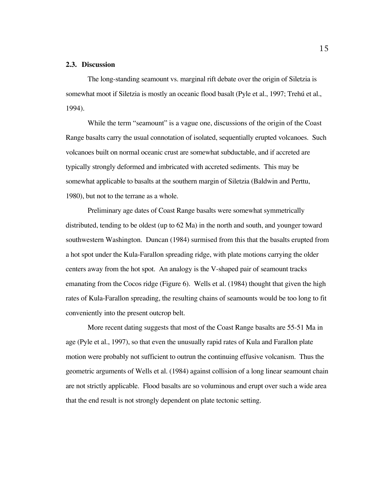# **2.3. Discussion**

The long-standing seamount vs. marginal rift debate over the origin of Siletzia is somewhat moot if Siletzia is mostly an oceanic flood basalt (Pyle et al., 1997; Trehú et al., 1994).

While the term "seamount" is a vague one, discussions of the origin of the Coast Range basalts carry the usual connotation of isolated, sequentially erupted volcanoes. Such volcanoes built on normal oceanic crust are somewhat subductable, and if accreted are typically strongly deformed and imbricated with accreted sediments. This may be somewhat applicable to basalts at the southern margin of Siletzia (Baldwin and Perttu, 1980), but not to the terrane as a whole.

Preliminary age dates of Coast Range basalts were somewhat symmetrically distributed, tending to be oldest (up to 62 Ma) in the north and south, and younger toward southwestern Washington. Duncan (1984) surmised from this that the basalts erupted from a hot spot under the Kula-Farallon spreading ridge, with plate motions carrying the older centers away from the hot spot. An analogy is the V-shaped pair of seamount tracks emanating from the Cocos ridge (Figure 6). Wells et al. (1984) thought that given the high rates of Kula-Farallon spreading, the resulting chains of seamounts would be too long to fit conveniently into the present outcrop belt.

More recent dating suggests that most of the Coast Range basalts are 55-51 Ma in age (Pyle et al., 1997), so that even the unusually rapid rates of Kula and Farallon plate motion were probably not sufficient to outrun the continuing effusive volcanism. Thus the geometric arguments of Wells et al. (1984) against collision of a long linear seamount chain are not strictly applicable. Flood basalts are so voluminous and erupt over such a wide area that the end result is not strongly dependent on plate tectonic setting.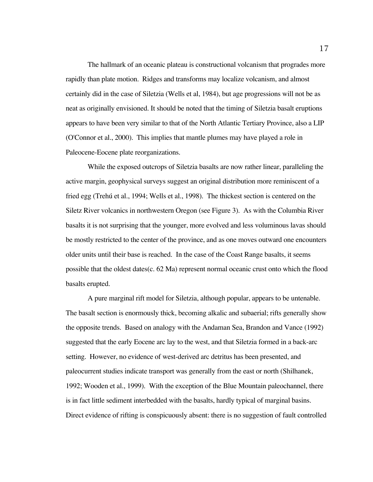The hallmark of an oceanic plateau is constructional volcanism that progrades more rapidly than plate motion. Ridges and transforms may localize volcanism, and almost certainly did in the case of Siletzia (Wells et al, 1984), but age progressions will not be as neat as originally envisioned. It should be noted that the timing of Siletzia basalt eruptions appears to have been very similar to that of the North Atlantic Tertiary Province, also a LIP (O'Connor et al., 2000). This implies that mantle plumes may have played a role in Paleocene-Eocene plate reorganizations.

While the exposed outcrops of Siletzia basalts are now rather linear, paralleling the active margin, geophysical surveys suggest an original distribution more reminiscent of a fried egg (Trehú et al., 1994; Wells et al., 1998). The thickest section is centered on the Siletz River volcanics in northwestern Oregon (see Figure 3). As with the Columbia River basalts it is not surprising that the younger, more evolved and less voluminous lavas should be mostly restricted to the center of the province, and as one moves outward one encounters older units until their base is reached. In the case of the Coast Range basalts, it seems possible that the oldest dates(c. 62 Ma) represent normal oceanic crust onto which the flood basalts erupted.

A pure marginal rift model for Siletzia, although popular, appears to be untenable. The basalt section is enormously thick, becoming alkalic and subaerial; rifts generally show the opposite trends. Based on analogy with the Andaman Sea, Brandon and Vance (1992) suggested that the early Eocene arc lay to the west, and that Siletzia formed in a back-arc setting. However, no evidence of west-derived arc detritus has been presented, and paleocurrent studies indicate transport was generally from the east or north (Shilhanek, 1992; Wooden et al., 1999). With the exception of the Blue Mountain paleochannel, there is in fact little sediment interbedded with the basalts, hardly typical of marginal basins. Direct evidence of rifting is conspicuously absent: there is no suggestion of fault controlled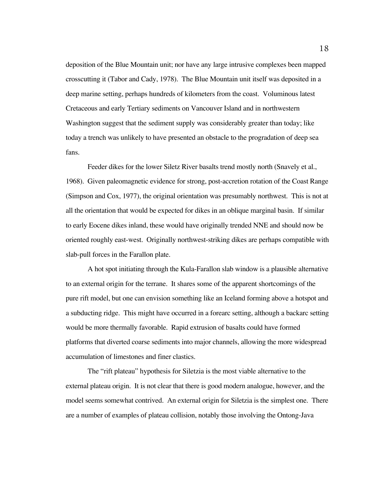deposition of the Blue Mountain unit; nor have any large intrusive complexes been mapped crosscutting it (Tabor and Cady, 1978). The Blue Mountain unit itself was deposited in a deep marine setting, perhaps hundreds of kilometers from the coast. Voluminous latest Cretaceous and early Tertiary sediments on Vancouver Island and in northwestern Washington suggest that the sediment supply was considerably greater than today; like today a trench was unlikely to have presented an obstacle to the progradation of deep sea fans.

Feeder dikes for the lower Siletz River basalts trend mostly north (Snavely et al., 1968). Given paleomagnetic evidence for strong, post-accretion rotation of the Coast Range (Simpson and Cox, 1977), the original orientation was presumably northwest. This is not at all the orientation that would be expected for dikes in an oblique marginal basin. If similar to early Eocene dikes inland, these would have originally trended NNE and should now be oriented roughly east-west. Originally northwest-striking dikes are perhaps compatible with slab-pull forces in the Farallon plate.

A hot spot initiating through the Kula-Farallon slab window is a plausible alternative to an external origin for the terrane. It shares some of the apparent shortcomings of the pure rift model, but one can envision something like an Iceland forming above a hotspot and a subducting ridge. This might have occurred in a forearc setting, although a backarc setting would be more thermally favorable. Rapid extrusion of basalts could have formed platforms that diverted coarse sediments into major channels, allowing the more widespread accumulation of limestones and finer clastics.

The "rift plateau" hypothesis for Siletzia is the most viable alternative to the external plateau origin. It is not clear that there is good modern analogue, however, and the model seems somewhat contrived. An external origin for Siletzia is the simplest one. There are a number of examples of plateau collision, notably those involving the Ontong-Java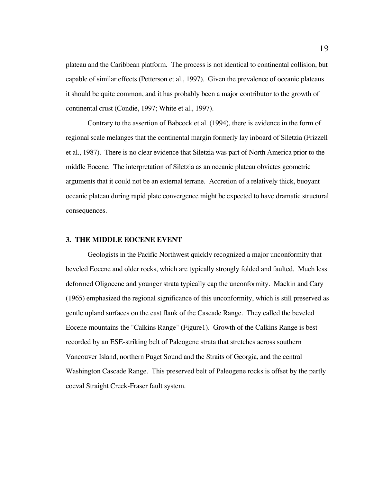plateau and the Caribbean platform. The process is not identical to continental collision, but capable of similar effects (Petterson et al., 1997). Given the prevalence of oceanic plateaus it should be quite common, and it has probably been a major contributor to the growth of continental crust (Condie, 1997; White et al., 1997).

Contrary to the assertion of Babcock et al. (1994), there is evidence in the form of regional scale melanges that the continental margin formerly lay inboard of Siletzia (Frizzell et al., 1987). There is no clear evidence that Siletzia was part of North America prior to the middle Eocene. The interpretation of Siletzia as an oceanic plateau obviates geometric arguments that it could not be an external terrane. Accretion of a relatively thick, buoyant oceanic plateau during rapid plate convergence might be expected to have dramatic structural consequences.

#### **3. THE MIDDLE EOCENE EVENT**

Geologists in the Pacific Northwest quickly recognized a major unconformity that beveled Eocene and older rocks, which are typically strongly folded and faulted. Much less deformed Oligocene and younger strata typically cap the unconformity. Mackin and Cary (1965) emphasized the regional significance of this unconformity, which is still preserved as gentle upland surfaces on the east flank of the Cascade Range. They called the beveled Eocene mountains the "Calkins Range" (Figure1). Growth of the Calkins Range is best recorded by an ESE-striking belt of Paleogene strata that stretches across southern Vancouver Island, northern Puget Sound and the Straits of Georgia, and the central Washington Cascade Range. This preserved belt of Paleogene rocks is offset by the partly coeval Straight Creek-Fraser fault system.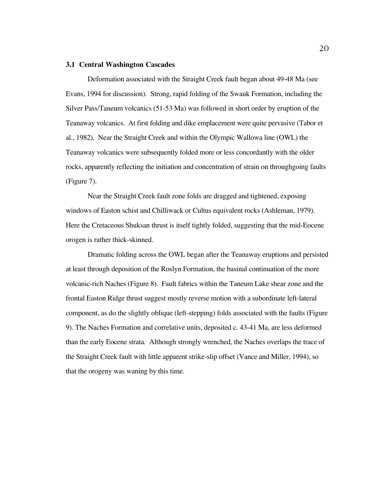#### **3.1 Central Washington Cascades**

Deformation associated with the Straight Creek fault began about 49-48 Ma (see Evans, 1994 for discussion). Strong, rapid folding of the Swauk Formation, including the Silver Pass/Taneum volcanics (51-53 Ma) was followed in short order by eruption of the Teanaway volcanics. At first folding and dike emplacement were quite pervasive (Tabor et al., 1982). Near the Straight Creek and within the Olympic Wallowa line (OWL) the Teanaway volcanics were subsequently folded more or less concordantly with the older rocks, apparently reflecting the initiation and concentration of strain on throughgoing faults (Figure 7).

Near the Straight Creek fault zone folds are dragged and tightened, exposing windows of Easton schist and Chilliwack or Cultus equivalent rocks (Ashleman, 1979). Here the Cretaceous Shuksan thrust is itself tightly folded, suggesting that the mid-Eocene orogen is rather thick-skinned.

Dramatic folding across the OWL began after the Teanaway eruptions and persisted at least through deposition of the Roslyn Formation, the basinal continuation of the more volcanic-rich Naches (Figure 8). Fault fabrics within the Taneum Lake shear zone and the frontal Easton Ridge thrust suggest mostly reverse motion with a subordinate left-lateral component, as do the slightly oblique (left-stepping) folds associated with the faults (Figure 9). The Naches Formation and correlative units, deposited c. 43-41 Ma, are less deformed than the early Eocene strata. Although strongly wrenched, the Naches overlaps the trace of the Straight Creek fault with little apparent strike-slip offset (Vance and Miller, 1994), so that the orogeny was waning by this time.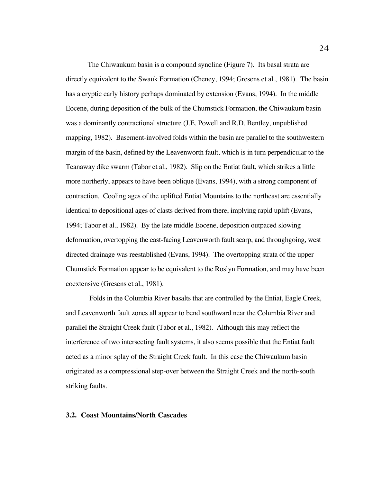The Chiwaukum basin is a compound syncline (Figure 7). Its basal strata are directly equivalent to the Swauk Formation (Cheney, 1994; Gresens et al., 1981). The basin has a cryptic early history perhaps dominated by extension (Evans, 1994). In the middle Eocene, during deposition of the bulk of the Chumstick Formation, the Chiwaukum basin was a dominantly contractional structure (J.E. Powell and R.D. Bentley, unpublished mapping, 1982). Basement-involved folds within the basin are parallel to the southwestern margin of the basin, defined by the Leavenworth fault, which is in turn perpendicular to the Teanaway dike swarm (Tabor et al., 1982). Slip on the Entiat fault, which strikes a little more northerly, appears to have been oblique (Evans, 1994), with a strong component of contraction. Cooling ages of the uplifted Entiat Mountains to the northeast are essentially identical to depositional ages of clasts derived from there, implying rapid uplift (Evans, 1994; Tabor et al., 1982). By the late middle Eocene, deposition outpaced slowing deformation, overtopping the east-facing Leavenworth fault scarp, and throughgoing, west directed drainage was reestablished (Evans, 1994). The overtopping strata of the upper Chumstick Formation appear to be equivalent to the Roslyn Formation, and may have been coextensive (Gresens et al., 1981).

 Folds in the Columbia River basalts that are controlled by the Entiat, Eagle Creek, and Leavenworth fault zones all appear to bend southward near the Columbia River and parallel the Straight Creek fault (Tabor et al., 1982). Although this may reflect the interference of two intersecting fault systems, it also seems possible that the Entiat fault acted as a minor splay of the Straight Creek fault. In this case the Chiwaukum basin originated as a compressional step-over between the Straight Creek and the north-south striking faults.

### **3.2. Coast Mountains/North Cascades**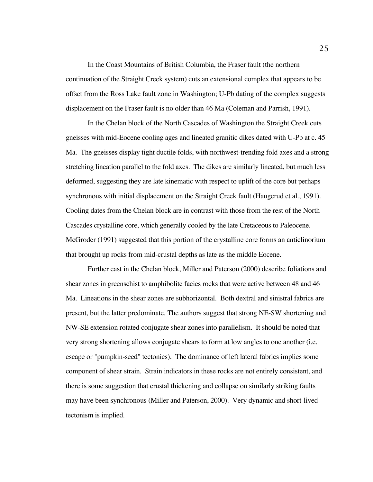In the Coast Mountains of British Columbia, the Fraser fault (the northern continuation of the Straight Creek system) cuts an extensional complex that appears to be offset from the Ross Lake fault zone in Washington; U-Pb dating of the complex suggests displacement on the Fraser fault is no older than 46 Ma (Coleman and Parrish, 1991).

In the Chelan block of the North Cascades of Washington the Straight Creek cuts gneisses with mid-Eocene cooling ages and lineated granitic dikes dated with U-Pb at c. 45 Ma. The gneisses display tight ductile folds, with northwest-trending fold axes and a strong stretching lineation parallel to the fold axes. The dikes are similarly lineated, but much less deformed, suggesting they are late kinematic with respect to uplift of the core but perhaps synchronous with initial displacement on the Straight Creek fault (Haugerud et al., 1991). Cooling dates from the Chelan block are in contrast with those from the rest of the North Cascades crystalline core, which generally cooled by the late Cretaceous to Paleocene. McGroder (1991) suggested that this portion of the crystalline core forms an anticlinorium that brought up rocks from mid-crustal depths as late as the middle Eocene.

Further east in the Chelan block, Miller and Paterson (2000) describe foliations and shear zones in greenschist to amphibolite facies rocks that were active between 48 and 46 Ma. Lineations in the shear zones are subhorizontal. Both dextral and sinistral fabrics are present, but the latter predominate. The authors suggest that strong NE-SW shortening and NW-SE extension rotated conjugate shear zones into parallelism. It should be noted that very strong shortening allows conjugate shears to form at low angles to one another (i.e. escape or "pumpkin-seed" tectonics). The dominance of left lateral fabrics implies some component of shear strain. Strain indicators in these rocks are not entirely consistent, and there is some suggestion that crustal thickening and collapse on similarly striking faults may have been synchronous (Miller and Paterson, 2000). Very dynamic and short-lived tectonism is implied.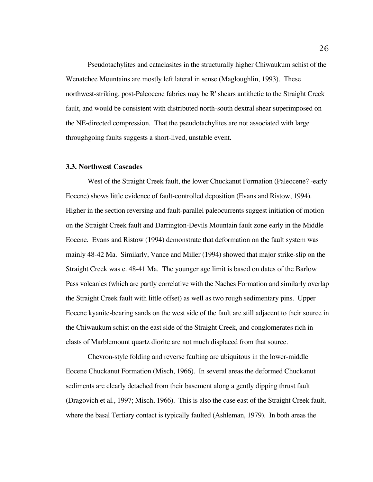Pseudotachylites and cataclasites in the structurally higher Chiwaukum schist of the Wenatchee Mountains are mostly left lateral in sense (Magloughlin, 1993). These northwest-striking, post-Paleocene fabrics may be R' shears antithetic to the Straight Creek fault, and would be consistent with distributed north-south dextral shear superimposed on the NE-directed compression. That the pseudotachylites are not associated with large throughgoing faults suggests a short-lived, unstable event.

#### **3.3. Northwest Cascades**

West of the Straight Creek fault, the lower Chuckanut Formation (Paleocene? -early Eocene) shows little evidence of fault-controlled deposition (Evans and Ristow, 1994). Higher in the section reversing and fault-parallel paleocurrents suggest initiation of motion on the Straight Creek fault and Darrington-Devils Mountain fault zone early in the Middle Eocene. Evans and Ristow (1994) demonstrate that deformation on the fault system was mainly 48-42 Ma. Similarly, Vance and Miller (1994) showed that major strike-slip on the Straight Creek was c. 48-41 Ma. The younger age limit is based on dates of the Barlow Pass volcanics (which are partly correlative with the Naches Formation and similarly overlap the Straight Creek fault with little offset) as well as two rough sedimentary pins. Upper Eocene kyanite-bearing sands on the west side of the fault are still adjacent to their source in the Chiwaukum schist on the east side of the Straight Creek, and conglomerates rich in clasts of Marblemount quartz diorite are not much displaced from that source.

Chevron-style folding and reverse faulting are ubiquitous in the lower-middle Eocene Chuckanut Formation (Misch, 1966). In several areas the deformed Chuckanut sediments are clearly detached from their basement along a gently dipping thrust fault (Dragovich et al., 1997; Misch, 1966). This is also the case east of the Straight Creek fault, where the basal Tertiary contact is typically faulted (Ashleman, 1979). In both areas the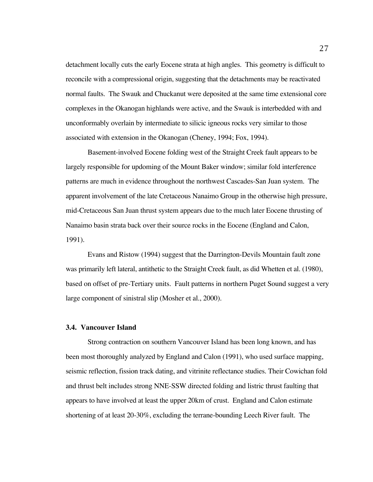detachment locally cuts the early Eocene strata at high angles. This geometry is difficult to reconcile with a compressional origin, suggesting that the detachments may be reactivated normal faults. The Swauk and Chuckanut were deposited at the same time extensional core complexes in the Okanogan highlands were active, and the Swauk is interbedded with and unconformably overlain by intermediate to silicic igneous rocks very similar to those associated with extension in the Okanogan (Cheney, 1994; Fox, 1994).

Basement-involved Eocene folding west of the Straight Creek fault appears to be largely responsible for updoming of the Mount Baker window; similar fold interference patterns are much in evidence throughout the northwest Cascades-San Juan system. The apparent involvement of the late Cretaceous Nanaimo Group in the otherwise high pressure, mid-Cretaceous San Juan thrust system appears due to the much later Eocene thrusting of Nanaimo basin strata back over their source rocks in the Eocene (England and Calon, 1991).

Evans and Ristow (1994) suggest that the Darrington-Devils Mountain fault zone was primarily left lateral, antithetic to the Straight Creek fault, as did Whetten et al. (1980), based on offset of pre-Tertiary units. Fault patterns in northern Puget Sound suggest a very large component of sinistral slip (Mosher et al., 2000).

# **3.4. Vancouver Island**

Strong contraction on southern Vancouver Island has been long known, and has been most thoroughly analyzed by England and Calon (1991), who used surface mapping, seismic reflection, fission track dating, and vitrinite reflectance studies. Their Cowichan fold and thrust belt includes strong NNE-SSW directed folding and listric thrust faulting that appears to have involved at least the upper 20km of crust. England and Calon estimate shortening of at least 20-30%, excluding the terrane-bounding Leech River fault. The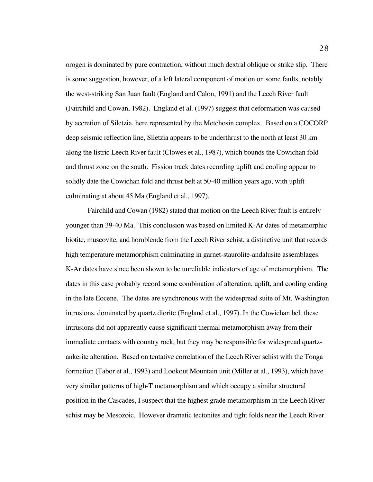orogen is dominated by pure contraction, without much dextral oblique or strike slip. There is some suggestion, however, of a left lateral component of motion on some faults, notably the west-striking San Juan fault (England and Calon, 1991) and the Leech River fault (Fairchild and Cowan, 1982). England et al. (1997) suggest that deformation was caused by accretion of Siletzia, here represented by the Metchosin complex. Based on a COCORP deep seismic reflection line, Siletzia appears to be underthrust to the north at least 30 km along the listric Leech River fault (Clowes et al., 1987), which bounds the Cowichan fold and thrust zone on the south. Fission track dates recording uplift and cooling appear to solidly date the Cowichan fold and thrust belt at 50-40 million years ago, with uplift culminating at about 45 Ma (England et al., 1997).

Fairchild and Cowan (1982) stated that motion on the Leech River fault is entirely younger than 39-40 Ma. This conclusion was based on limited K-Ar dates of metamorphic biotite, muscovite, and hornblende from the Leech River schist, a distinctive unit that records high temperature metamorphism culminating in garnet-staurolite-andalusite assemblages. K-Ar dates have since been shown to be unreliable indicators of age of metamorphism. The dates in this case probably record some combination of alteration, uplift, and cooling ending in the late Eocene. The dates are synchronous with the widespread suite of Mt. Washington intrusions, dominated by quartz diorite (England et al., 1997). In the Cowichan belt these intrusions did not apparently cause significant thermal metamorphism away from their immediate contacts with country rock, but they may be responsible for widespread quartzankerite alteration. Based on tentative correlation of the Leech River schist with the Tonga formation (Tabor et al., 1993) and Lookout Mountain unit (Miller et al., 1993), which have very similar patterns of high-T metamorphism and which occupy a similar structural position in the Cascades, I suspect that the highest grade metamorphism in the Leech River schist may be Mesozoic. However dramatic tectonites and tight folds near the Leech River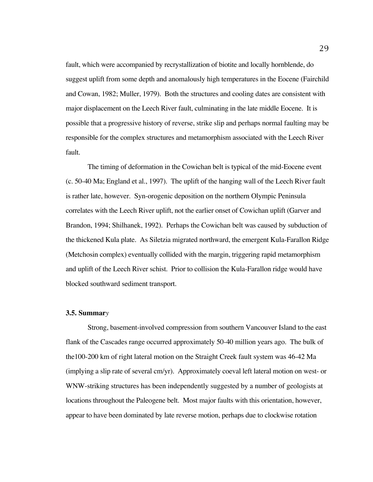fault, which were accompanied by recrystallization of biotite and locally hornblende, do suggest uplift from some depth and anomalously high temperatures in the Eocene (Fairchild and Cowan, 1982; Muller, 1979). Both the structures and cooling dates are consistent with major displacement on the Leech River fault, culminating in the late middle Eocene. It is possible that a progressive history of reverse, strike slip and perhaps normal faulting may be responsible for the complex structures and metamorphism associated with the Leech River fault.

The timing of deformation in the Cowichan belt is typical of the mid-Eocene event (c. 50-40 Ma; England et al., 1997). The uplift of the hanging wall of the Leech River fault is rather late, however. Syn-orogenic deposition on the northern Olympic Peninsula correlates with the Leech River uplift, not the earlier onset of Cowichan uplift (Garver and Brandon, 1994; Shilhanek, 1992). Perhaps the Cowichan belt was caused by subduction of the thickened Kula plate. As Siletzia migrated northward, the emergent Kula-Farallon Ridge (Metchosin complex) eventually collided with the margin, triggering rapid metamorphism and uplift of the Leech River schist. Prior to collision the Kula-Farallon ridge would have blocked southward sediment transport.

#### **3.5. Summar***y*

Strong, basement-involved compression from southern Vancouver Island to the east flank of the Cascades range occurred approximately 50-40 million years ago. The bulk of the100-200 km of right lateral motion on the Straight Creek fault system was 46-42 Ma (implying a slip rate of several cm/yr). Approximately coeval left lateral motion on west- or WNW-striking structures has been independently suggested by a number of geologists at locations throughout the Paleogene belt. Most major faults with this orientation, however, appear to have been dominated by late reverse motion, perhaps due to clockwise rotation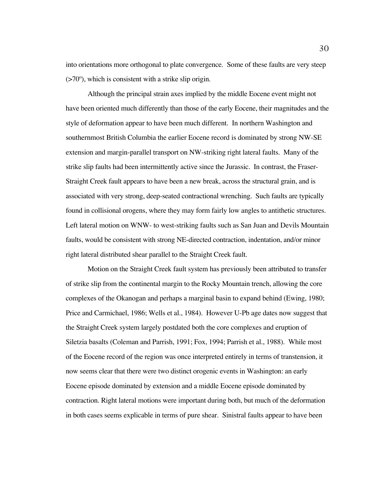into orientations more orthogonal to plate convergence. Some of these faults are very steep  $($ >70 $^{\circ}$ ), which is consistent with a strike slip origin.

Although the principal strain axes implied by the middle Eocene event might not have been oriented much differently than those of the early Eocene, their magnitudes and the style of deformation appear to have been much different. In northern Washington and southernmost British Columbia the earlier Eocene record is dominated by strong NW-SE extension and margin-parallel transport on NW-striking right lateral faults. Many of the strike slip faults had been intermittently active since the Jurassic. In contrast, the Fraser-Straight Creek fault appears to have been a new break, across the structural grain, and is associated with very strong, deep-seated contractional wrenching. Such faults are typically found in collisional orogens, where they may form fairly low angles to antithetic structures. Left lateral motion on WNW- to west-striking faults such as San Juan and Devils Mountain faults, would be consistent with strong NE-directed contraction, indentation, and/or minor right lateral distributed shear parallel to the Straight Creek fault.

Motion on the Straight Creek fault system has previously been attributed to transfer of strike slip from the continental margin to the Rocky Mountain trench, allowing the core complexes of the Okanogan and perhaps a marginal basin to expand behind (Ewing, 1980; Price and Carmichael, 1986; Wells et al., 1984). However U-Pb age dates now suggest that the Straight Creek system largely postdated both the core complexes and eruption of Siletzia basalts (Coleman and Parrish, 1991; Fox, 1994; Parrish et al., 1988). While most of the Eocene record of the region was once interpreted entirely in terms of transtension, it now seems clear that there were two distinct orogenic events in Washington: an early Eocene episode dominated by extension and a middle Eocene episode dominated by contraction. Right lateral motions were important during both, but much of the deformation in both cases seems explicable in terms of pure shear. Sinistral faults appear to have been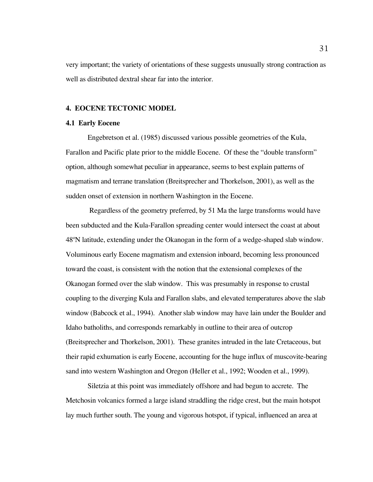very important; the variety of orientations of these suggests unusually strong contraction as well as distributed dextral shear far into the interior.

# **4. EOCENE TECTONIC MODEL**

#### **4.1 Early Eocene**

Engebretson et al. (1985) discussed various possible geometries of the Kula, Farallon and Pacific plate prior to the middle Eocene. Of these the "double transform" option, although somewhat peculiar in appearance, seems to best explain patterns of magmatism and terrane translation (Breitsprecher and Thorkelson, 2001), as well as the sudden onset of extension in northern Washington in the Eocene.

 Regardless of the geometry preferred, by 51 Ma the large transforms would have been subducted and the Kula-Farallon spreading center would intersect the coast at about 48ºN latitude, extending under the Okanogan in the form of a wedge-shaped slab window. Voluminous early Eocene magmatism and extension inboard, becoming less pronounced toward the coast, is consistent with the notion that the extensional complexes of the Okanogan formed over the slab window. This was presumably in response to crustal coupling to the diverging Kula and Farallon slabs, and elevated temperatures above the slab window (Babcock et al., 1994). Another slab window may have lain under the Boulder and Idaho batholiths, and corresponds remarkably in outline to their area of outcrop (Breitsprecher and Thorkelson, 2001). These granites intruded in the late Cretaceous, but their rapid exhumation is early Eocene, accounting for the huge influx of muscovite-bearing sand into western Washington and Oregon (Heller et al., 1992; Wooden et al., 1999).

Siletzia at this point was immediately offshore and had begun to accrete. The Metchosin volcanics formed a large island straddling the ridge crest, but the main hotspot lay much further south. The young and vigorous hotspot, if typical, influenced an area at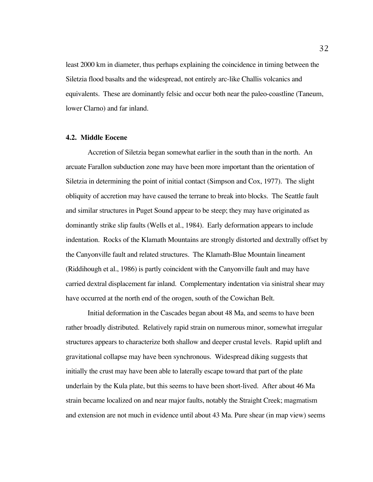least 2000 km in diameter, thus perhaps explaining the coincidence in timing between the Siletzia flood basalts and the widespread, not entirely arc-like Challis volcanics and equivalents. These are dominantly felsic and occur both near the paleo-coastline (Taneum, lower Clarno) and far inland.

### **4.2. Middle Eocene**

Accretion of Siletzia began somewhat earlier in the south than in the north. An arcuate Farallon subduction zone may have been more important than the orientation of Siletzia in determining the point of initial contact (Simpson and Cox, 1977). The slight obliquity of accretion may have caused the terrane to break into blocks. The Seattle fault and similar structures in Puget Sound appear to be steep; they may have originated as dominantly strike slip faults (Wells et al., 1984). Early deformation appears to include indentation. Rocks of the Klamath Mountains are strongly distorted and dextrally offset by the Canyonville fault and related structures. The Klamath-Blue Mountain lineament (Riddihough et al., 1986) is partly coincident with the Canyonville fault and may have carried dextral displacement far inland. Complementary indentation via sinistral shear may have occurred at the north end of the orogen, south of the Cowichan Belt.

Initial deformation in the Cascades began about 48 Ma, and seems to have been rather broadly distributed. Relatively rapid strain on numerous minor, somewhat irregular structures appears to characterize both shallow and deeper crustal levels. Rapid uplift and gravitational collapse may have been synchronous. Widespread diking suggests that initially the crust may have been able to laterally escape toward that part of the plate underlain by the Kula plate, but this seems to have been short-lived. After about 46 Ma strain became localized on and near major faults, notably the Straight Creek; magmatism and extension are not much in evidence until about 43 Ma. Pure shear (in map view) seems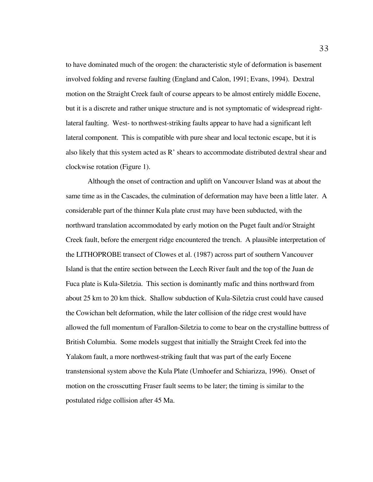to have dominated much of the orogen: the characteristic style of deformation is basement involved folding and reverse faulting (England and Calon, 1991; Evans, 1994). Dextral motion on the Straight Creek fault of course appears to be almost entirely middle Eocene, but it is a discrete and rather unique structure and is not symptomatic of widespread rightlateral faulting. West- to northwest-striking faults appear to have had a significant left lateral component. This is compatible with pure shear and local tectonic escape, but it is also likely that this system acted as  $R'$  shears to accommodate distributed dextral shear and clockwise rotation (Figure 1).

Although the onset of contraction and uplift on Vancouver Island was at about the same time as in the Cascades, the culmination of deformation may have been a little later. A considerable part of the thinner Kula plate crust may have been subducted, with the northward translation accommodated by early motion on the Puget fault and/or Straight Creek fault, before the emergent ridge encountered the trench. A plausible interpretation of the LITHOPROBE transect of Clowes et al. (1987) across part of southern Vancouver Island is that the entire section between the Leech River fault and the top of the Juan de Fuca plate is Kula-Siletzia. This section is dominantly mafic and thins northward from about 25 km to 20 km thick. Shallow subduction of Kula-Siletzia crust could have caused the Cowichan belt deformation, while the later collision of the ridge crest would have allowed the full momentum of Farallon-Siletzia to come to bear on the crystalline buttress of British Columbia. Some models suggest that initially the Straight Creek fed into the Yalakom fault, a more northwest-striking fault that was part of the early Eocene transtensional system above the Kula Plate (Umhoefer and Schiarizza, 1996). Onset of motion on the crosscutting Fraser fault seems to be later; the timing is similar to the postulated ridge collision after 45 Ma.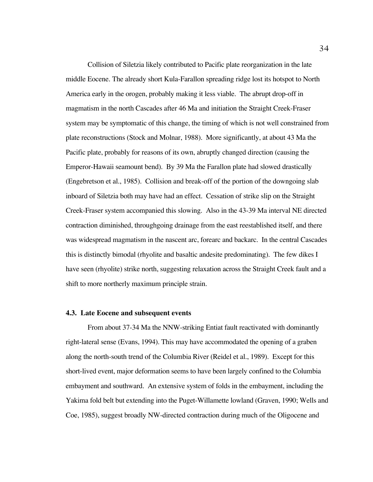Collision of Siletzia likely contributed to Pacific plate reorganization in the late middle Eocene. The already short Kula-Farallon spreading ridge lost its hotspot to North America early in the orogen, probably making it less viable. The abrupt drop-off in magmatism in the north Cascades after 46 Ma and initiation the Straight Creek-Fraser system may be symptomatic of this change, the timing of which is not well constrained from plate reconstructions (Stock and Molnar, 1988). More significantly, at about 43 Ma the Pacific plate, probably for reasons of its own, abruptly changed direction (causing the Emperor-Hawaii seamount bend). By 39 Ma the Farallon plate had slowed drastically (Engebretson et al., 1985). Collision and break-off of the portion of the downgoing slab inboard of Siletzia both may have had an effect. Cessation of strike slip on the Straight Creek-Fraser system accompanied this slowing. Also in the 43-39 Ma interval NE directed contraction diminished, throughgoing drainage from the east reestablished itself, and there was widespread magmatism in the nascent arc, forearc and backarc. In the central Cascades this is distinctly bimodal (rhyolite and basaltic andesite predominating). The few dikes I have seen (rhyolite) strike north, suggesting relaxation across the Straight Creek fault and a shift to more northerly maximum principle strain.

#### **4.3. Late Eocene and subsequent events**

From about 37-34 Ma the NNW-striking Entiat fault reactivated with dominantly right-lateral sense (Evans, 1994). This may have accommodated the opening of a graben along the north-south trend of the Columbia River (Reidel et al., 1989). Except for this short-lived event, major deformation seems to have been largely confined to the Columbia embayment and southward. An extensive system of folds in the embayment, including the Yakima fold belt but extending into the Puget-Willamette lowland (Graven, 1990; Wells and Coe, 1985), suggest broadly NW-directed contraction during much of the Oligocene and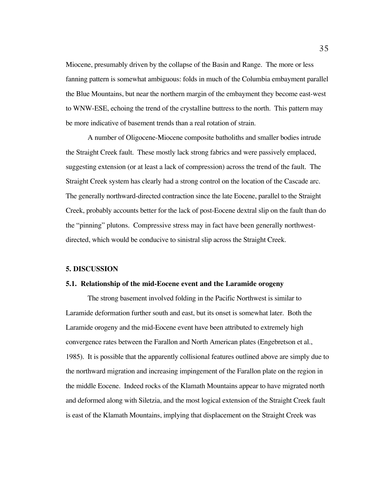Miocene, presumably driven by the collapse of the Basin and Range. The more or less fanning pattern is somewhat ambiguous: folds in much of the Columbia embayment parallel the Blue Mountains, but near the northern margin of the embayment they become east-west to WNW-ESE, echoing the trend of the crystalline buttress to the north. This pattern may be more indicative of basement trends than a real rotation of strain.

A number of Oligocene-Miocene composite batholiths and smaller bodies intrude the Straight Creek fault. These mostly lack strong fabrics and were passively emplaced, suggesting extension (or at least a lack of compression) across the trend of the fault. The Straight Creek system has clearly had a strong control on the location of the Cascade arc. The generally northward-directed contraction since the late Eocene, parallel to the Straight Creek, probably accounts better for the lack of post-Eocene dextral slip on the fault than do the "pinning" plutons. Compressive stress may in fact have been generally northwestdirected, which would be conducive to sinistral slip across the Straight Creek.

### **5. DISCUSSION**

#### **5.1. Relationship of the mid-Eocene event and the Laramide orogeny**

The strong basement involved folding in the Pacific Northwest is similar to Laramide deformation further south and east, but its onset is somewhat later. Both the Laramide orogeny and the mid-Eocene event have been attributed to extremely high convergence rates between the Farallon and North American plates (Engebretson et al., 1985). It is possible that the apparently collisional features outlined above are simply due to the northward migration and increasing impingement of the Farallon plate on the region in the middle Eocene. Indeed rocks of the Klamath Mountains appear to have migrated north and deformed along with Siletzia, and the most logical extension of the Straight Creek fault is east of the Klamath Mountains, implying that displacement on the Straight Creek was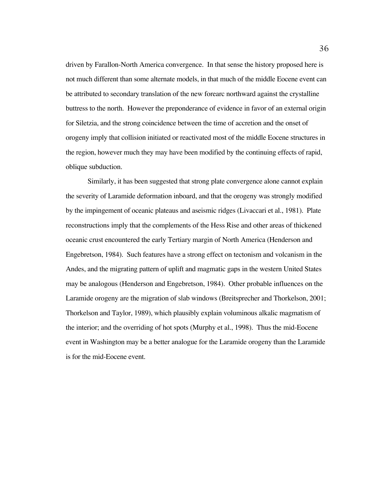driven by Farallon-North America convergence. In that sense the history proposed here is not much different than some alternate models, in that much of the middle Eocene event can be attributed to secondary translation of the new forearc northward against the crystalline buttress to the north. However the preponderance of evidence in favor of an external origin for Siletzia, and the strong coincidence between the time of accretion and the onset of orogeny imply that collision initiated or reactivated most of the middle Eocene structures in the region, however much they may have been modified by the continuing effects of rapid, oblique subduction.

Similarly, it has been suggested that strong plate convergence alone cannot explain the severity of Laramide deformation inboard, and that the orogeny was strongly modified by the impingement of oceanic plateaus and aseismic ridges (Livaccari et al., 1981). Plate reconstructions imply that the complements of the Hess Rise and other areas of thickened oceanic crust encountered the early Tertiary margin of North America (Henderson and Engebretson, 1984). Such features have a strong effect on tectonism and volcanism in the Andes, and the migrating pattern of uplift and magmatic gaps in the western United States may be analogous (Henderson and Engebretson, 1984). Other probable influences on the Laramide orogeny are the migration of slab windows (Breitsprecher and Thorkelson, 2001; Thorkelson and Taylor, 1989), which plausibly explain voluminous alkalic magmatism of the interior; and the overriding of hot spots (Murphy et al., 1998). Thus the mid-Eocene event in Washington may be a better analogue for the Laramide orogeny than the Laramide is for the mid-Eocene event.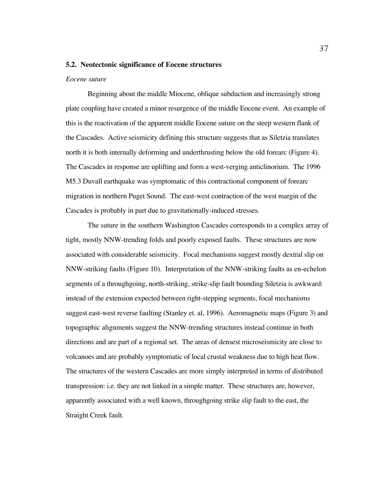### **5.2. Neotectonic significance of Eocene structures**

#### *Eocene suture*

Beginning about the middle Miocene, oblique subduction and increasingly strong plate coupling have created a minor resurgence of the middle Eocene event. An example of this is the reactivation of the apparent middle Eocene suture on the steep western flank of the Cascades. Active seismicity defining this structure suggests that as Siletzia translates north it is both internally deforming and underthrusting below the old forearc (Figure 4). The Cascades in response are uplifting and form a west-verging anticlinorium. The 1996 M5.3 Duvall earthquake was symptomatic of this contractional component of forearc migration in northern Puget Sound. The east-west contraction of the west margin of the Cascades is probably in part due to gravitationally-induced stresses.

The suture in the southern Washington Cascades corresponds to a complex array of tight, mostly NNW-trending folds and poorly exposed faults. These structures are now associated with considerable seismicity. Focal mechanisms suggest mostly dextral slip on NNW-striking faults (Figure 10). Interpretation of the NNW-striking faults as en-echelon segments of a throughgoing, north-striking, strike-slip fault bounding Siletzia is awkward: instead of the extension expected between right-stepping segments, focal mechanisms suggest east-west reverse faulting (Stanley et. al, 1996). Aeromagnetic maps (Figure 3) and topographic alignments suggest the NNW-trending structures instead continue in both directions and are part of a regional set. The areas of densest microseismicity are close to volcanoes and are probably symptomatic of local crustal weakness due to high heat flow. The structures of the western Cascades are more simply interpreted in terms of distributed transpression: i.e. they are not linked in a simple matter. These structures are, however, apparently associated with a well known, throughgoing strike slip fault to the east, the Straight Creek fault.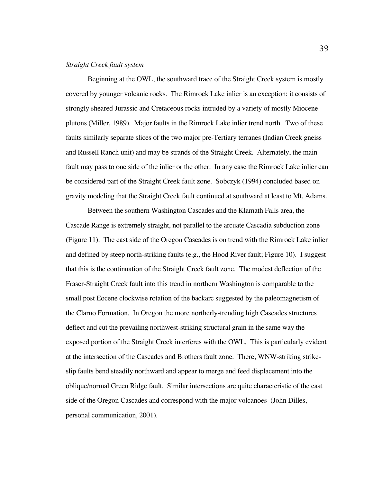# *Straight Creek fault system*

Beginning at the OWL, the southward trace of the Straight Creek system is mostly covered by younger volcanic rocks. The Rimrock Lake inlier is an exception: it consists of strongly sheared Jurassic and Cretaceous rocks intruded by a variety of mostly Miocene plutons (Miller, 1989). Major faults in the Rimrock Lake inlier trend north. Two of these faults similarly separate slices of the two major pre-Tertiary terranes (Indian Creek gneiss and Russell Ranch unit) and may be strands of the Straight Creek. Alternately, the main fault may pass to one side of the inlier or the other. In any case the Rimrock Lake inlier can be considered part of the Straight Creek fault zone. Sobczyk (1994) concluded based on gravity modeling that the Straight Creek fault continued at southward at least to Mt. Adams.

Between the southern Washington Cascades and the Klamath Falls area, the Cascade Range is extremely straight, not parallel to the arcuate Cascadia subduction zone (Figure 11). The east side of the Oregon Cascades is on trend with the Rimrock Lake inlier and defined by steep north-striking faults (e.g., the Hood River fault; Figure 10). I suggest that this is the continuation of the Straight Creek fault zone. The modest deflection of the Fraser-Straight Creek fault into this trend in northern Washington is comparable to the small post Eocene clockwise rotation of the backarc suggested by the paleomagnetism of the Clarno Formation. In Oregon the more northerly-trending high Cascades structures deflect and cut the prevailing northwest-striking structural grain in the same way the exposed portion of the Straight Creek interferes with the OWL. This is particularly evident at the intersection of the Cascades and Brothers fault zone. There, WNW-striking strikeslip faults bend steadily northward and appear to merge and feed displacement into the oblique/normal Green Ridge fault. Similar intersections are quite characteristic of the east side of the Oregon Cascades and correspond with the major volcanoes (John Dilles, personal communication, 2001).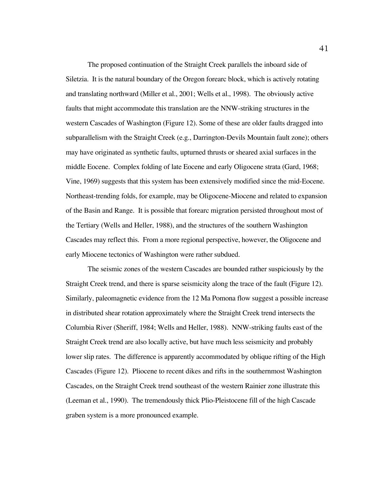The proposed continuation of the Straight Creek parallels the inboard side of Siletzia. It is the natural boundary of the Oregon forearc block, which is actively rotating and translating northward (Miller et al., 2001; Wells et al., 1998). The obviously active faults that might accommodate this translation are the NNW-striking structures in the western Cascades of Washington (Figure 12). Some of these are older faults dragged into subparallelism with the Straight Creek (e.g., Darrington-Devils Mountain fault zone); others may have originated as synthetic faults, upturned thrusts or sheared axial surfaces in the middle Eocene. Complex folding of late Eocene and early Oligocene strata (Gard, 1968; Vine, 1969) suggests that this system has been extensively modified since the mid-Eocene. Northeast-trending folds, for example, may be Oligocene-Miocene and related to expansion of the Basin and Range. It is possible that forearc migration persisted throughout most of the Tertiary (Wells and Heller, 1988), and the structures of the southern Washington Cascades may reflect this. From a more regional perspective, however, the Oligocene and early Miocene tectonics of Washington were rather subdued.

The seismic zones of the western Cascades are bounded rather suspiciously by the Straight Creek trend, and there is sparse seismicity along the trace of the fault (Figure 12). Similarly, paleomagnetic evidence from the 12 Ma Pomona flow suggest a possible increase in distributed shear rotation approximately where the Straight Creek trend intersects the Columbia River (Sheriff, 1984; Wells and Heller, 1988). NNW-striking faults east of the Straight Creek trend are also locally active, but have much less seismicity and probably lower slip rates. The difference is apparently accommodated by oblique rifting of the High Cascades (Figure 12). Pliocene to recent dikes and rifts in the southernmost Washington Cascades, on the Straight Creek trend southeast of the western Rainier zone illustrate this (Leeman et al., 1990). The tremendously thick Plio-Pleistocene fill of the high Cascade graben system is a more pronounced example.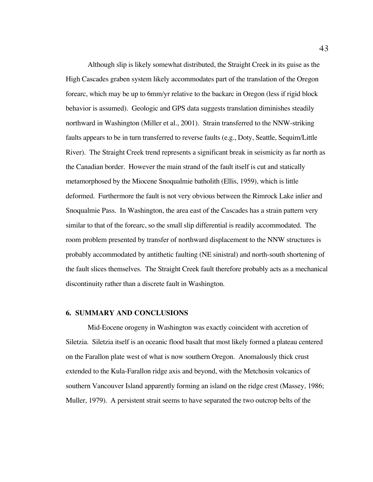Although slip is likely somewhat distributed, the Straight Creek in its guise as the High Cascades graben system likely accommodates part of the translation of the Oregon forearc, which may be up to 6mm/yr relative to the backarc in Oregon (less if rigid block behavior is assumed). Geologic and GPS data suggests translation diminishes steadily northward in Washington (Miller et al., 2001). Strain transferred to the NNW-striking faults appears to be in turn transferred to reverse faults (e.g., Doty, Seattle, Sequim/Little River). The Straight Creek trend represents a significant break in seismicity as far north as the Canadian border. However the main strand of the fault itself is cut and statically metamorphosed by the Miocene Snoqualmie batholith (Ellis, 1959), which is little deformed. Furthermore the fault is not very obvious between the Rimrock Lake inlier and Snoqualmie Pass. In Washington, the area east of the Cascades has a strain pattern very similar to that of the forearc, so the small slip differential is readily accommodated. The room problem presented by transfer of northward displacement to the NNW structures is probably accommodated by antithetic faulting (NE sinistral) and north-south shortening of the fault slices themselves. The Straight Creek fault therefore probably acts as a mechanical discontinuity rather than a discrete fault in Washington.

### **6. SUMMARY AND CONCLUSIONS**

Mid-Eocene orogeny in Washington was exactly coincident with accretion of Siletzia. Siletzia itself is an oceanic flood basalt that most likely formed a plateau centered on the Farallon plate west of what is now southern Oregon. Anomalously thick crust extended to the Kula-Farallon ridge axis and beyond, with the Metchosin volcanics of southern Vancouver Island apparently forming an island on the ridge crest (Massey, 1986; Muller, 1979). A persistent strait seems to have separated the two outcrop belts of the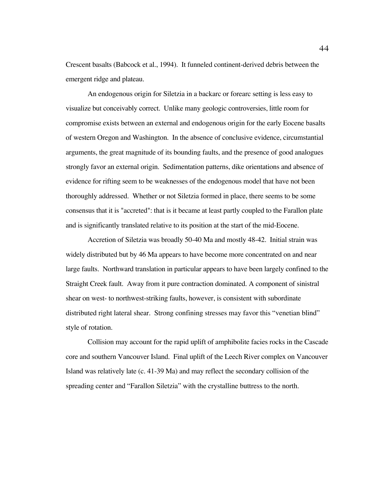Crescent basalts (Babcock et al., 1994). It funneled continent-derived debris between the emergent ridge and plateau.

An endogenous origin for Siletzia in a backarc or forearc setting is less easy to visualize but conceivably correct. Unlike many geologic controversies, little room for compromise exists between an external and endogenous origin for the early Eocene basalts of western Oregon and Washington. In the absence of conclusive evidence, circumstantial arguments, the great magnitude of its bounding faults, and the presence of good analogues strongly favor an external origin. Sedimentation patterns, dike orientations and absence of evidence for rifting seem to be weaknesses of the endogenous model that have not been thoroughly addressed. Whether or not Siletzia formed in place, there seems to be some consensus that it is "accreted": that is it became at least partly coupled to the Farallon plate and is significantly translated relative to its position at the start of the mid-Eocene.

Accretion of Siletzia was broadly 50-40 Ma and mostly 48-42. Initial strain was widely distributed but by 46 Ma appears to have become more concentrated on and near large faults. Northward translation in particular appears to have been largely confined to the Straight Creek fault. Away from it pure contraction dominated. A component of sinistral shear on west- to northwest-striking faults, however, is consistent with subordinate distributed right lateral shear. Strong confining stresses may favor this "venetian blind" style of rotation.

Collision may account for the rapid uplift of amphibolite facies rocks in the Cascade core and southern Vancouver Island. Final uplift of the Leech River complex on Vancouver Island was relatively late (c. 41-39 Ma) and may reflect the secondary collision of the spreading center and "Farallon Siletzia" with the crystalline buttress to the north.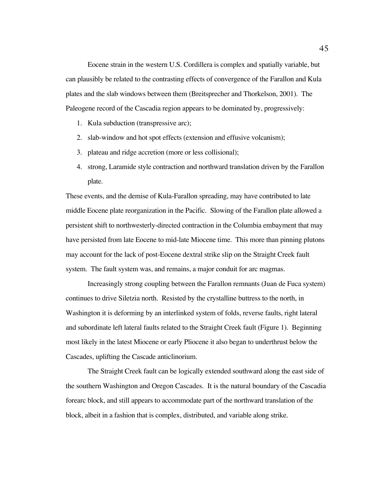Eocene strain in the western U.S. Cordillera is complex and spatially variable, but can plausibly be related to the contrasting effects of convergence of the Farallon and Kula plates and the slab windows between them (Breitsprecher and Thorkelson, 2001). The Paleogene record of the Cascadia region appears to be dominated by, progressively:

- 1. Kula subduction (transpressive arc);
- 2. slab-window and hot spot effects (extension and effusive volcanism);
- 3. plateau and ridge accretion (more or less collisional);
- 4. strong, Laramide style contraction and northward translation driven by the Farallon plate.

These events, and the demise of Kula-Farallon spreading, may have contributed to late middle Eocene plate reorganization in the Pacific. Slowing of the Farallon plate allowed a persistent shift to northwesterly-directed contraction in the Columbia embayment that may have persisted from late Eocene to mid-late Miocene time. This more than pinning plutons may account for the lack of post-Eocene dextral strike slip on the Straight Creek fault system. The fault system was, and remains, a major conduit for arc magmas.

Increasingly strong coupling between the Farallon remnants (Juan de Fuca system) continues to drive Siletzia north. Resisted by the crystalline buttress to the north, in Washington it is deforming by an interlinked system of folds, reverse faults, right lateral and subordinate left lateral faults related to the Straight Creek fault (Figure 1). Beginning most likely in the latest Miocene or early Pliocene it also began to underthrust below the Cascades, uplifting the Cascade anticlinorium.

The Straight Creek fault can be logically extended southward along the east side of the southern Washington and Oregon Cascades. It is the natural boundary of the Cascadia forearc block, and still appears to accommodate part of the northward translation of the block, albeit in a fashion that is complex, distributed, and variable along strike.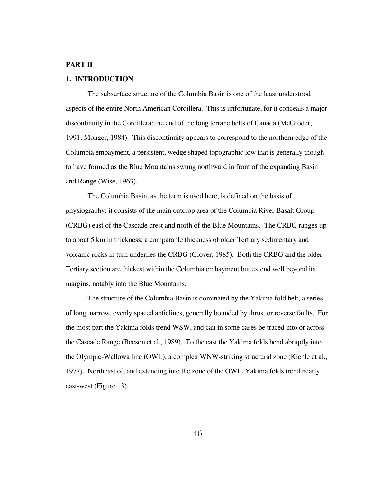# **PART II**

# **1. INTRODUCTION**

The subsurface structure of the Columbia Basin is one of the least understood aspects of the entire North American Cordillera. This is unfortunate, for it conceals a major discontinuity in the Cordillera: the end of the long terrane belts of Canada (McGroder, 1991; Monger, 1984). This discontinuity appears to correspond to the northern edge of the Columbia embayment, a persistent, wedge shaped topographic low that is generally though to have formed as the Blue Mountains swung northward in front of the expanding Basin and Range (Wise, 1963).

The Columbia Basin, as the term is used here, is defined on the basis of physiography: it consists of the main outcrop area of the Columbia River Basalt Group (CRBG) east of the Cascade crest and north of the Blue Mountains. The CRBG ranges up to about 5 km in thickness; a comparable thickness of older Tertiary sedimentary and volcanic rocks in turn underlies the CRBG (Glover, 1985). Both the CRBG and the older Tertiary section are thickest within the Columbia embayment but extend well beyond its margins, notably into the Blue Mountains.

The structure of the Columbia Basin is dominated by the Yakima fold belt, a series of long, narrow, evenly spaced anticlines, generally bounded by thrust or reverse faults. For the most part the Yakima folds trend WSW, and can in some cases be traced into or across the Cascade Range (Beeson et al., 1989). To the east the Yakima folds bend abruptly into the Olympic-Wallowa line (OWL), a complex WNW-striking structural zone (Kienle et al., 1977). Northeast of, and extending into the zone of the OWL, Yakima folds trend nearly east-west (Figure 13).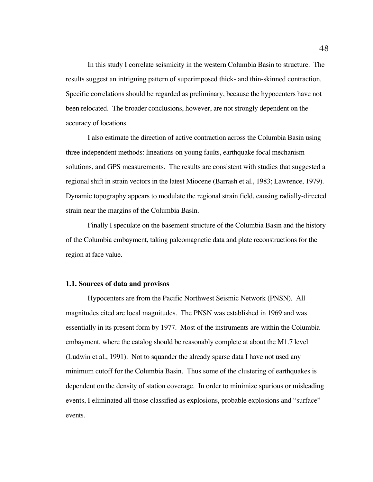In this study I correlate seismicity in the western Columbia Basin to structure. The results suggest an intriguing pattern of superimposed thick- and thin-skinned contraction. Specific correlations should be regarded as preliminary, because the hypocenters have not been relocated. The broader conclusions, however, are not strongly dependent on the accuracy of locations.

I also estimate the direction of active contraction across the Columbia Basin using three independent methods: lineations on young faults, earthquake focal mechanism solutions, and GPS measurements. The results are consistent with studies that suggested a regional shift in strain vectors in the latest Miocene (Barrash et al., 1983; Lawrence, 1979). Dynamic topography appears to modulate the regional strain field, causing radially-directed strain near the margins of the Columbia Basin.

Finally I speculate on the basement structure of the Columbia Basin and the history of the Columbia embayment, taking paleomagnetic data and plate reconstructions for the region at face value.

#### **1.1. Sources of data and provisos**

Hypocenters are from the Pacific Northwest Seismic Network (PNSN). All magnitudes cited are local magnitudes. The PNSN was established in 1969 and was essentially in its present form by 1977. Most of the instruments are within the Columbia embayment, where the catalog should be reasonably complete at about the M1.7 level (Ludwin et al., 1991). Not to squander the already sparse data I have not used any minimum cutoff for the Columbia Basin. Thus some of the clustering of earthquakes is dependent on the density of station coverage. In order to minimize spurious or misleading events, I eliminated all those classified as explosions, probable explosions and "surface" events.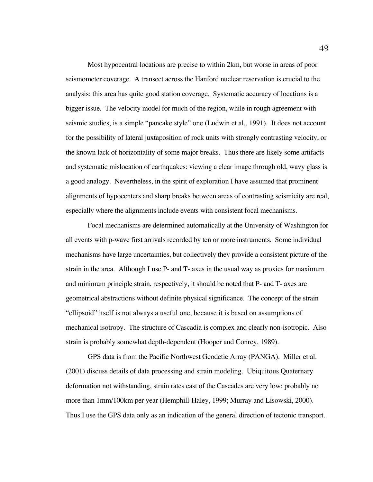Most hypocentral locations are precise to within 2km, but worse in areas of poor seismometer coverage. A transect across the Hanford nuclear reservation is crucial to the analysis; this area has quite good station coverage. Systematic accuracy of locations is a bigger issue. The velocity model for much of the region, while in rough agreement with seismic studies, is a simple "pancake style" one (Ludwin et al., 1991). It does not account for the possibility of lateral juxtaposition of rock units with strongly contrasting velocity, or the known lack of horizontality of some major breaks. Thus there are likely some artifacts and systematic mislocation of earthquakes: viewing a clear image through old, wavy glass is a good analogy. Nevertheless, in the spirit of exploration I have assumed that prominent alignments of hypocenters and sharp breaks between areas of contrasting seismicity are real, especially where the alignments include events with consistent focal mechanisms.

Focal mechanisms are determined automatically at the University of Washington for all events with p-wave first arrivals recorded by ten or more instruments. Some individual mechanisms have large uncertainties, but collectively they provide a consistent picture of the strain in the area. Although I use P- and T- axes in the usual way as proxies for maximum and minimum principle strain, respectively, it should be noted that P- and T- axes are geometrical abstractions without definite physical significance. The concept of the strain "ellipsoid" itself is not always a useful one, because it is based on assumptions of mechanical isotropy. The structure of Cascadia is complex and clearly non-isotropic. Also strain is probably somewhat depth-dependent (Hooper and Conrey, 1989).

GPS data is from the Pacific Northwest Geodetic Array (PANGA). Miller et al. (2001) discuss details of data processing and strain modeling. Ubiquitous Quaternary deformation not withstanding, strain rates east of the Cascades are very low: probably no more than 1mm/100km per year (Hemphill-Haley, 1999; Murray and Lisowski, 2000). Thus I use the GPS data only as an indication of the general direction of tectonic transport.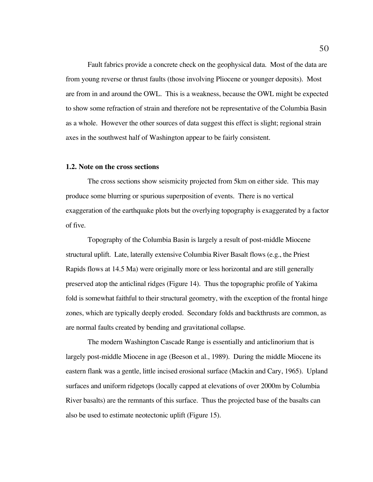Fault fabrics provide a concrete check on the geophysical data. Most of the data are from young reverse or thrust faults (those involving Pliocene or younger deposits). Most are from in and around the OWL. This is a weakness, because the OWL might be expected to show some refraction of strain and therefore not be representative of the Columbia Basin as a whole. However the other sources of data suggest this effect is slight; regional strain axes in the southwest half of Washington appear to be fairly consistent.

### **1.2. Note on the cross sections**

The cross sections show seismicity projected from 5km on either side. This may produce some blurring or spurious superposition of events. There is no vertical exaggeration of the earthquake plots but the overlying topography is exaggerated by a factor of five.

Topography of the Columbia Basin is largely a result of post-middle Miocene structural uplift. Late, laterally extensive Columbia River Basalt flows (e.g., the Priest Rapids flows at 14.5 Ma) were originally more or less horizontal and are still generally preserved atop the anticlinal ridges (Figure 14). Thus the topographic profile of Yakima fold is somewhat faithful to their structural geometry, with the exception of the frontal hinge zones, which are typically deeply eroded. Secondary folds and backthrusts are common, as are normal faults created by bending and gravitational collapse.

The modern Washington Cascade Range is essentially and anticlinorium that is largely post-middle Miocene in age (Beeson et al., 1989). During the middle Miocene its eastern flank was a gentle, little incised erosional surface (Mackin and Cary, 1965). Upland surfaces and uniform ridgetops (locally capped at elevations of over 2000m by Columbia River basalts) are the remnants of this surface. Thus the projected base of the basalts can also be used to estimate neotectonic uplift (Figure 15).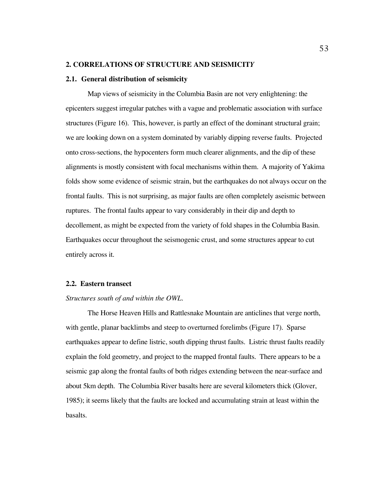# **2. CORRELATIONS OF STRUCTURE AND SEISMICIT***Y*

### **2.1. General distribution of seismicity**

Map views of seismicity in the Columbia Basin are not very enlightening: the epicenters suggest irregular patches with a vague and problematic association with surface structures (Figure 16). This, however, is partly an effect of the dominant structural grain; we are looking down on a system dominated by variably dipping reverse faults. Projected onto cross-sections, the hypocenters form much clearer alignments, and the dip of these alignments is mostly consistent with focal mechanisms within them. A majority of Yakima folds show some evidence of seismic strain, but the earthquakes do not always occur on the frontal faults. This is not surprising, as major faults are often completely aseismic between ruptures. The frontal faults appear to vary considerably in their dip and depth to decollement, as might be expected from the variety of fold shapes in the Columbia Basin. Earthquakes occur throughout the seismogenic crust, and some structures appear to cut entirely across it.

### **2.2. Eastern transect**

## *Structures south of and within the OWL.*

The Horse Heaven Hills and Rattlesnake Mountain are anticlines that verge north, with gentle, planar backlimbs and steep to overturned forelimbs (Figure 17). Sparse earthquakes appear to define listric, south dipping thrust faults. Listric thrust faults readily explain the fold geometry, and project to the mapped frontal faults. There appears to be a seismic gap along the frontal faults of both ridges extending between the near-surface and about 5km depth. The Columbia River basalts here are several kilometers thick (Glover, 1985); it seems likely that the faults are locked and accumulating strain at least within the basalts.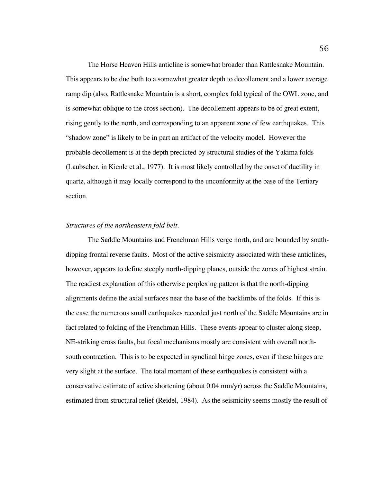The Horse Heaven Hills anticline is somewhat broader than Rattlesnake Mountain. This appears to be due both to a somewhat greater depth to decollement and a lower average ramp dip (also, Rattlesnake Mountain is a short, complex fold typical of the OWL zone, and is somewhat oblique to the cross section). The decollement appears to be of great extent, rising gently to the north, and corresponding to an apparent zone of few earthquakes. This "shadow zone" is likely to be in part an artifact of the velocity model. However the probable decollement is at the depth predicted by structural studies of the Yakima folds (Laubscher, in Kienle et al., 1977). It is most likely controlled by the onset of ductility in quartz, although it may locally correspond to the unconformity at the base of the Tertiary section.

# *Structures of the northeastern fold belt.*

The Saddle Mountains and Frenchman Hills verge north, and are bounded by southdipping frontal reverse faults. Most of the active seismicity associated with these anticlines, however, appears to define steeply north-dipping planes, outside the zones of highest strain. The readiest explanation of this otherwise perplexing pattern is that the north-dipping alignments define the axial surfaces near the base of the backlimbs of the folds. If this is the case the numerous small earthquakes recorded just north of the Saddle Mountains are in fact related to folding of the Frenchman Hills. These events appear to cluster along steep, NE-striking cross faults, but focal mechanisms mostly are consistent with overall northsouth contraction. This is to be expected in synclinal hinge zones, even if these hinges are very slight at the surface. The total moment of these earthquakes is consistent with a conservative estimate of active shortening (about 0.04 mm/yr) across the Saddle Mountains, estimated from structural relief (Reidel, 1984). As the seismicity seems mostly the result of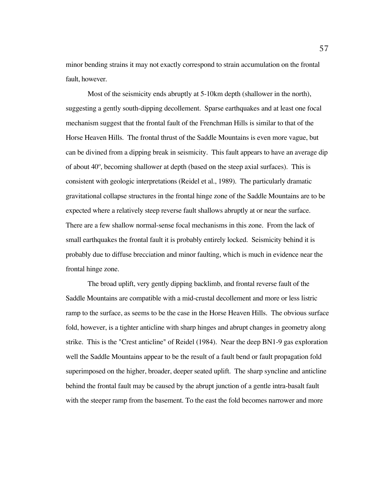minor bending strains it may not exactly correspond to strain accumulation on the frontal fault, however.

Most of the seismicity ends abruptly at 5-10km depth (shallower in the north), suggesting a gently south-dipping decollement. Sparse earthquakes and at least one focal mechanism suggest that the frontal fault of the Frenchman Hills is similar to that of the Horse Heaven Hills. The frontal thrust of the Saddle Mountains is even more vague, but can be divined from a dipping break in seismicity. This fault appears to have an average dip of about 40º, becoming shallower at depth (based on the steep axial surfaces). This is consistent with geologic interpretations (Reidel et al., 1989). The particularly dramatic gravitational collapse structures in the frontal hinge zone of the Saddle Mountains are to be expected where a relatively steep reverse fault shallows abruptly at or near the surface. There are a few shallow normal-sense focal mechanisms in this zone. From the lack of small earthquakes the frontal fault it is probably entirely locked. Seismicity behind it is probably due to diffuse brecciation and minor faulting, which is much in evidence near the frontal hinge zone.

The broad uplift, very gently dipping backlimb, and frontal reverse fault of the Saddle Mountains are compatible with a mid-crustal decollement and more or less listric ramp to the surface, as seems to be the case in the Horse Heaven Hills. The obvious surface fold, however, is a tighter anticline with sharp hinges and abrupt changes in geometry along strike. This is the "Crest anticline" of Reidel (1984). Near the deep BN1-9 gas exploration well the Saddle Mountains appear to be the result of a fault bend or fault propagation fold superimposed on the higher, broader, deeper seated uplift. The sharp syncline and anticline behind the frontal fault may be caused by the abrupt junction of a gentle intra-basalt fault with the steeper ramp from the basement. To the east the fold becomes narrower and more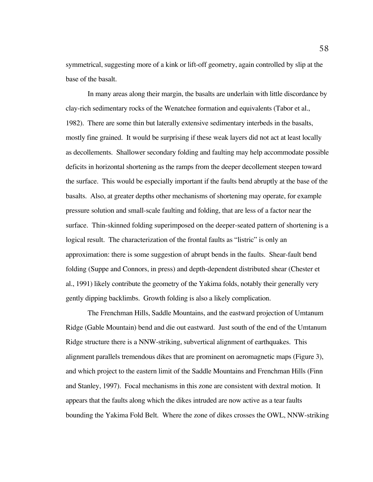symmetrical, suggesting more of a kink or lift-off geometry, again controlled by slip at the base of the basalt.

In many areas along their margin, the basalts are underlain with little discordance by clay-rich sedimentary rocks of the Wenatchee formation and equivalents (Tabor et al., 1982). There are some thin but laterally extensive sedimentary interbeds in the basalts, mostly fine grained. It would be surprising if these weak layers did not act at least locally as decollements. Shallower secondary folding and faulting may help accommodate possible deficits in horizontal shortening as the ramps from the deeper decollement steepen toward the surface. This would be especially important if the faults bend abruptly at the base of the basalts. Also, at greater depths other mechanisms of shortening may operate, for example pressure solution and small-scale faulting and folding, that are less of a factor near the surface. Thin-skinned folding superimposed on the deeper-seated pattern of shortening is a logical result. The characterization of the frontal faults as "listric" is only an approximation: there is some suggestion of abrupt bends in the faults. Shear-fault bend folding (Suppe and Connors, in press) and depth-dependent distributed shear (Chester et al., 1991) likely contribute the geometry of the Yakima folds, notably their generally very gently dipping backlimbs. Growth folding is also a likely complication.

The Frenchman Hills, Saddle Mountains, and the eastward projection of Umtanum Ridge (Gable Mountain) bend and die out eastward. Just south of the end of the Umtanum Ridge structure there is a NNW-striking, subvertical alignment of earthquakes. This alignment parallels tremendous dikes that are prominent on aeromagnetic maps (Figure 3), and which project to the eastern limit of the Saddle Mountains and Frenchman Hills (Finn and Stanley, 1997). Focal mechanisms in this zone are consistent with dextral motion. It appears that the faults along which the dikes intruded are now active as a tear faults bounding the Yakima Fold Belt. Where the zone of dikes crosses the OWL, NNW-striking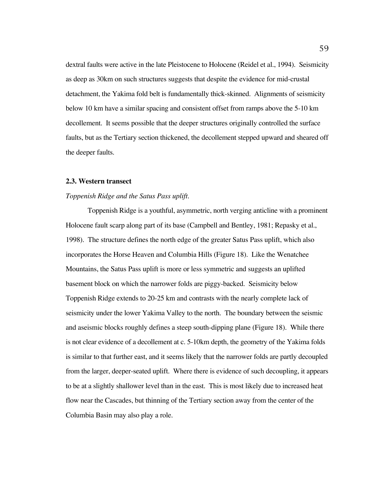dextral faults were active in the late Pleistocene to Holocene (Reidel et al., 1994). Seismicity as deep as 30km on such structures suggests that despite the evidence for mid-crustal detachment, the Yakima fold belt is fundamentally thick-skinned. Alignments of seismicity below 10 km have a similar spacing and consistent offset from ramps above the 5-10 km decollement. It seems possible that the deeper structures originally controlled the surface faults, but as the Tertiary section thickened, the decollement stepped upward and sheared off the deeper faults.

## **2.3. Western transect**

### *Toppenish Ridge and the Satus Pass uplift.*

Toppenish Ridge is a youthful, asymmetric, north verging anticline with a prominent Holocene fault scarp along part of its base (Campbell and Bentley, 1981; Repasky et al., 1998). The structure defines the north edge of the greater Satus Pass uplift, which also incorporates the Horse Heaven and Columbia Hills (Figure 18). Like the Wenatchee Mountains, the Satus Pass uplift is more or less symmetric and suggests an uplifted basement block on which the narrower folds are piggy-backed. Seismicity below Toppenish Ridge extends to 20-25 km and contrasts with the nearly complete lack of seismicity under the lower Yakima Valley to the north. The boundary between the seismic and aseismic blocks roughly defines a steep south-dipping plane (Figure 18). While there is not clear evidence of a decollement at c. 5-10km depth, the geometry of the Yakima folds is similar to that further east, and it seems likely that the narrower folds are partly decoupled from the larger, deeper-seated uplift. Where there is evidence of such decoupling, it appears to be at a slightly shallower level than in the east. This is most likely due to increased heat flow near the Cascades, but thinning of the Tertiary section away from the center of the Columbia Basin may also play a role.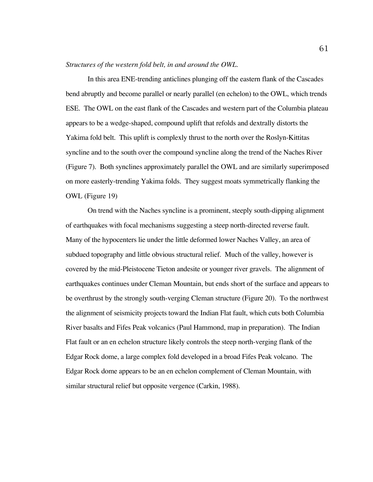# *Structures of the western fold belt, in and around the OWL.*

In this area ENE-trending anticlines plunging off the eastern flank of the Cascades bend abruptly and become parallel or nearly parallel (en echelon) to the OWL, which trends ESE. The OWL on the east flank of the Cascades and western part of the Columbia plateau appears to be a wedge-shaped, compound uplift that refolds and dextrally distorts the Yakima fold belt. This uplift is complexly thrust to the north over the Roslyn-Kittitas syncline and to the south over the compound syncline along the trend of the Naches River (Figure 7). Both synclines approximately parallel the OWL and are similarly superimposed on more easterly-trending Yakima folds. They suggest moats symmetrically flanking the OWL (Figure 19)

On trend with the Naches syncline is a prominent, steeply south-dipping alignment of earthquakes with focal mechanisms suggesting a steep north-directed reverse fault. Many of the hypocenters lie under the little deformed lower Naches Valley, an area of subdued topography and little obvious structural relief. Much of the valley, however is covered by the mid-Pleistocene Tieton andesite or younger river gravels. The alignment of earthquakes continues under Cleman Mountain, but ends short of the surface and appears to be overthrust by the strongly south-verging Cleman structure (Figure 20). To the northwest the alignment of seismicity projects toward the Indian Flat fault, which cuts both Columbia River basalts and Fifes Peak volcanics (Paul Hammond, map in preparation). The Indian Flat fault or an en echelon structure likely controls the steep north-verging flank of the Edgar Rock dome, a large complex fold developed in a broad Fifes Peak volcano. The Edgar Rock dome appears to be an en echelon complement of Cleman Mountain, with similar structural relief but opposite vergence (Carkin, 1988).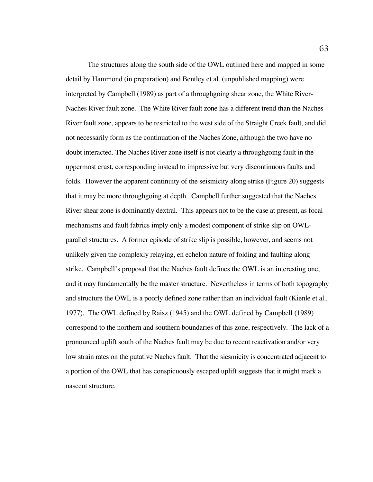The structures along the south side of the OWL outlined here and mapped in some detail by Hammond (in preparation) and Bentley et al. (unpublished mapping) were interpreted by Campbell (1989) as part of a throughgoing shear zone, the White River-Naches River fault zone. The White River fault zone has a different trend than the Naches River fault zone, appears to be restricted to the west side of the Straight Creek fault, and did not necessarily form as the continuation of the Naches Zone, although the two have no doubt interacted. The Naches River zone itself is not clearly a throughgoing fault in the uppermost crust, corresponding instead to impressive but very discontinuous faults and folds. However the apparent continuity of the seismicity along strike (Figure 20) suggests that it may be more throughgoing at depth. Campbell further suggested that the Naches River shear zone is dominantly dextral. This appears not to be the case at present, as focal mechanisms and fault fabrics imply only a modest component of strike slip on OWLparallel structures. A former episode of strike slip is possible, however, and seems not unlikely given the complexly relaying, en echelon nature of folding and faulting along strike. Campbell's proposal that the Naches fault defines the OWL is an interesting one, and it may fundamentally be the master structure. Nevertheless in terms of both topography and structure the OWL is a poorly defined zone rather than an individual fault (Kienle et al., 1977). The OWL defined by Raisz (1945) and the OWL defined by Campbell (1989) correspond to the northern and southern boundaries of this zone, respectively. The lack of a pronounced uplift south of the Naches fault may be due to recent reactivation and/or very low strain rates on the putative Naches fault. That the siesmicity is concentrated adjacent to a portion of the OWL that has conspicuously escaped uplift suggests that it might mark a nascent structure.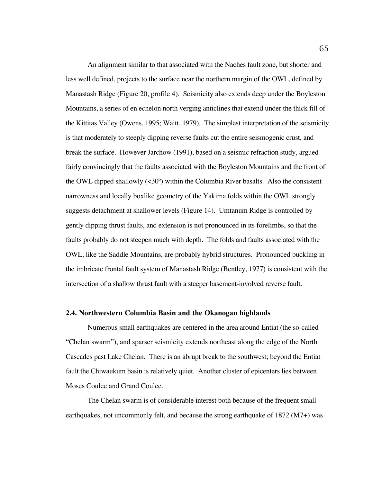An alignment similar to that associated with the Naches fault zone, but shorter and less well defined, projects to the surface near the northern margin of the OWL, defined by Manastash Ridge (Figure 20, profile 4). Seismicity also extends deep under the Boyleston Mountains, a series of en echelon north verging anticlines that extend under the thick fill of the Kittitas Valley (Owens, 1995; Waitt, 1979). The simplest interpretation of the seismicity is that moderately to steeply dipping reverse faults cut the entire seismogenic crust, and break the surface. However Jarchow (1991), based on a seismic refraction study, argued fairly convincingly that the faults associated with the Boyleston Mountains and the front of the OWL dipped shallowly  $( $30^{\circ}$ )$  within the Columbia River basalts. Also the consistent narrowness and locally boxlike geometry of the Yakima folds within the OWL strongly suggests detachment at shallower levels (Figure 14). Umtanum Ridge is controlled by gently dipping thrust faults, and extension is not pronounced in its forelimbs, so that the faults probably do not steepen much with depth. The folds and faults associated with the OWL, like the Saddle Mountains, are probably hybrid structures. Pronounced buckling in the imbricate frontal fault system of Manastash Ridge (Bentley, 1977) is consistent with the intersection of a shallow thrust fault with a steeper basement-involved reverse fault.

### **2.4. Northwestern Columbia Basin and the Okanogan highlands**

Numerous small earthquakes are centered in the area around Entiat (the so-called "Chelan swarm"), and sparser seismicity extends northeast along the edge of the North Cascades past Lake Chelan. There is an abrupt break to the southwest; beyond the Entiat fault the Chiwaukum basin is relatively quiet. Another cluster of epicenters lies between Moses Coulee and Grand Coulee.

The Chelan swarm is of considerable interest both because of the frequent small earthquakes, not uncommonly felt, and because the strong earthquake of 1872 (M7+) was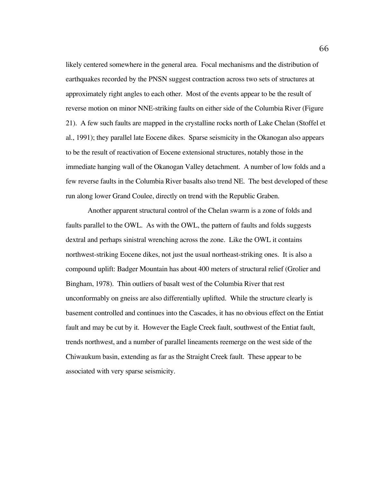likely centered somewhere in the general area. Focal mechanisms and the distribution of earthquakes recorded by the PNSN suggest contraction across two sets of structures at approximately right angles to each other. Most of the events appear to be the result of reverse motion on minor NNE-striking faults on either side of the Columbia River (Figure 21). A few such faults are mapped in the crystalline rocks north of Lake Chelan (Stoffel et al., 1991); they parallel late Eocene dikes. Sparse seismicity in the Okanogan also appears to be the result of reactivation of Eocene extensional structures, notably those in the immediate hanging wall of the Okanogan Valley detachment. A number of low folds and a few reverse faults in the Columbia River basalts also trend NE. The best developed of these run along lower Grand Coulee, directly on trend with the Republic Graben.

Another apparent structural control of the Chelan swarm is a zone of folds and faults parallel to the OWL. As with the OWL, the pattern of faults and folds suggests dextral and perhaps sinistral wrenching across the zone. Like the OWL it contains northwest-striking Eocene dikes, not just the usual northeast-striking ones. It is also a compound uplift: Badger Mountain has about 400 meters of structural relief (Grolier and Bingham, 1978). Thin outliers of basalt west of the Columbia River that rest unconformably on gneiss are also differentially uplifted. While the structure clearly is basement controlled and continues into the Cascades, it has no obvious effect on the Entiat fault and may be cut by it. However the Eagle Creek fault, southwest of the Entiat fault, trends northwest, and a number of parallel lineaments reemerge on the west side of the Chiwaukum basin, extending as far as the Straight Creek fault. These appear to be associated with very sparse seismicity.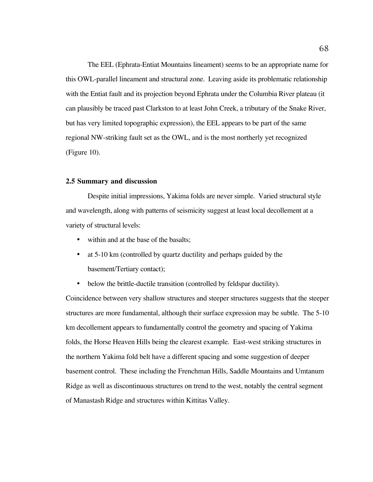The EEL (Ephrata-Entiat Mountains lineament) seems to be an appropriate name for this OWL-parallel lineament and structural zone. Leaving aside its problematic relationship with the Entiat fault and its projection beyond Ephrata under the Columbia River plateau (it can plausibly be traced past Clarkston to at least John Creek, a tributary of the Snake River, but has very limited topographic expression), the EEL appears to be part of the same regional NW-striking fault set as the OWL, and is the most northerly yet recognized (Figure 10).

### **2.5 Summary and discussion**

Despite initial impressions, Yakima folds are never simple. Varied structural style and wavelength, along with patterns of seismicity suggest at least local decollement at a variety of structural levels:

within and at the base of the basalts;

at 5-10 km (controlled by quartz ductility and perhaps guided by the

basement/Tertiary contact);

below the brittle-ductile transition (controlled by feldspar ductility).

Coincidence between very shallow structures and steeper structures suggests that the steeper structures are more fundamental, although their surface expression may be subtle. The 5-10 km decollement appears to fundamentally control the geometry and spacing of Yakima folds, the Horse Heaven Hills being the clearest example. East-west striking structures in the northern Yakima fold belt have a different spacing and some suggestion of deeper basement control. These including the Frenchman Hills, Saddle Mountains and Umtanum Ridge as well as discontinuous structures on trend to the west, notably the central segment of Manastash Ridge and structures within Kittitas Valley.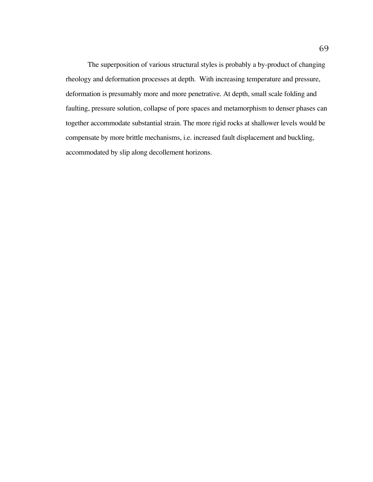The superposition of various structural styles is probably a by-product of changing rheology and deformation processes at depth. With increasing temperature and pressure, deformation is presumably more and more penetrative. At depth, small scale folding and faulting, pressure solution, collapse of pore spaces and metamorphism to denser phases can together accommodate substantial strain. The more rigid rocks at shallower levels would be compensate by more brittle mechanisms, i.e. increased fault displacement and buckling, accommodated by slip along decollement horizons.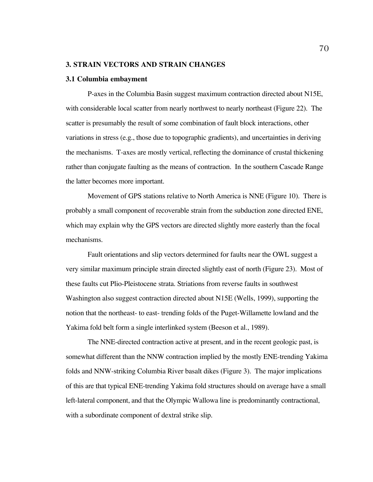# **3. STRAIN VECTORS AND STRAIN CHANGES**

### **3.1 Columbia embayment**

P-axes in the Columbia Basin suggest maximum contraction directed about N15E, with considerable local scatter from nearly northwest to nearly northeast (Figure 22). The scatter is presumably the result of some combination of fault block interactions, other variations in stress (e.g., those due to topographic gradients), and uncertainties in deriving the mechanisms. T-axes are mostly vertical, reflecting the dominance of crustal thickening rather than conjugate faulting as the means of contraction. In the southern Cascade Range the latter becomes more important.

Movement of GPS stations relative to North America is NNE (Figure 10). There is probably a small component of recoverable strain from the subduction zone directed ENE, which may explain why the GPS vectors are directed slightly more easterly than the focal mechanisms.

Fault orientations and slip vectors determined for faults near the OWL suggest a very similar maximum principle strain directed slightly east of north (Figure 23). Most of these faults cut Plio-Pleistocene strata. Striations from reverse faults in southwest Washington also suggest contraction directed about N15E (Wells, 1999), supporting the notion that the northeast- to east- trending folds of the Puget-Willamette lowland and the Yakima fold belt form a single interlinked system (Beeson et al., 1989).

The NNE-directed contraction active at present, and in the recent geologic past, is somewhat different than the NNW contraction implied by the mostly ENE-trending Yakima folds and NNW-striking Columbia River basalt dikes (Figure 3). The major implications of this are that typical ENE-trending Yakima fold structures should on average have a small left-lateral component, and that the Olympic Wallowa line is predominantly contractional, with a subordinate component of dextral strike slip.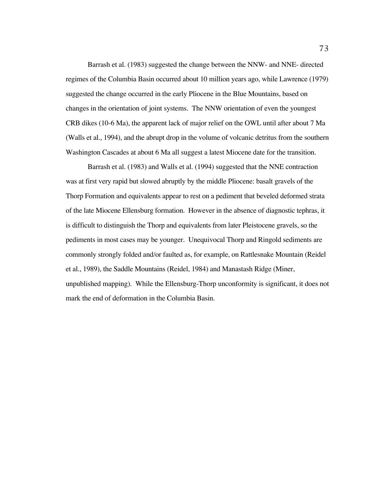Barrash et al. (1983) suggested the change between the NNW- and NNE- directed regimes of the Columbia Basin occurred about 10 million years ago, while Lawrence (1979) suggested the change occurred in the early Pliocene in the Blue Mountains, based on changes in the orientation of joint systems. The NNW orientation of even the youngest CRB dikes (10-6 Ma), the apparent lack of major relief on the OWL until after about 7 Ma (Walls et al., 1994), and the abrupt drop in the volume of volcanic detritus from the southern Washington Cascades at about 6 Ma all suggest a latest Miocene date for the transition.

Barrash et al. (1983) and Walls et al. (1994) suggested that the NNE contraction was at first very rapid but slowed abruptly by the middle Pliocene: basalt gravels of the Thorp Formation and equivalents appear to rest on a pediment that beveled deformed strata of the late Miocene Ellensburg formation. However in the absence of diagnostic tephras, it is difficult to distinguish the Thorp and equivalents from later Pleistocene gravels, so the pediments in most cases may be younger. Unequivocal Thorp and Ringold sediments are commonly strongly folded and/or faulted as, for example, on Rattlesnake Mountain (Reidel et al., 1989), the Saddle Mountains (Reidel, 1984) and Manastash Ridge (Miner, unpublished mapping). While the Ellensburg-Thorp unconformity is significant, it does not mark the end of deformation in the Columbia Basin.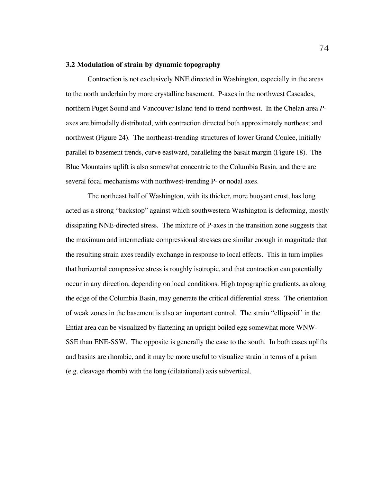# **3.2 Modulation of strain by dynamic topography**

Contraction is not exclusively NNE directed in Washington, especially in the areas to the north underlain by more crystalline basement. P*-*axes in the northwest Cascades, northern Puget Sound and Vancouver Island tend to trend northwest. In the Chelan area *P*axes are bimodally distributed, with contraction directed both approximately northeast and northwest (Figure 24). The northeast-trending structures of lower Grand Coulee, initially parallel to basement trends, curve eastward, paralleling the basalt margin (Figure 18). The Blue Mountains uplift is also somewhat concentric to the Columbia Basin, and there are several focal mechanisms with northwest-trending P- or nodal axes.

The northeast half of Washington, with its thicker, more buoyant crust, has long acted as a strong "backstop" against which southwestern Washington is deforming, mostly dissipating NNE-directed stress. The mixture of P*-*axes in the transition zone suggests that the maximum and intermediate compressional stresses are similar enough in magnitude that the resulting strain axes readily exchange in response to local effects. This in turn implies that horizontal compressive stress is roughly isotropic, and that contraction can potentially occur in any direction, depending on local conditions. High topographic gradients, as along the edge of the Columbia Basin, may generate the critical differential stress. The orientation of weak zones in the basement is also an important control. The strain "ellipsoid" in the Entiat area can be visualized by flattening an upright boiled egg somewhat more WNW-SSE than ENE-SSW. The opposite is generally the case to the south. In both cases uplifts and basins are rhombic, and it may be more useful to visualize strain in terms of a prism (e.g. cleavage rhomb) with the long (dilatational) axis subvertical.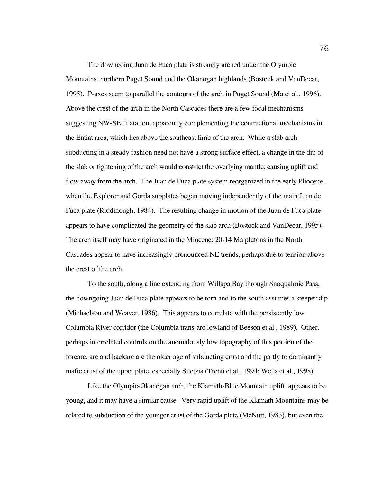The downgoing Juan de Fuca plate is strongly arched under the Olympic Mountains, northern Puget Sound and the Okanogan highlands (Bostock and VanDecar, 1995). P*-*axes seem to parallel the contours of the arch in Puget Sound (Ma et al., 1996). Above the crest of the arch in the North Cascades there are a few focal mechanisms suggesting NW-SE dilatation, apparently complementing the contractional mechanisms in the Entiat area, which lies above the southeast limb of the arch. While a slab arch subducting in a steady fashion need not have a strong surface effect, a change in the dip of the slab or tightening of the arch would constrict the overlying mantle, causing uplift and flow away from the arch. The Juan de Fuca plate system reorganized in the early Pliocene, when the Explorer and Gorda subplates began moving independently of the main Juan de Fuca plate (Riddihough, 1984). The resulting change in motion of the Juan de Fuca plate appears to have complicated the geometry of the slab arch (Bostock and VanDecar, 1995). The arch itself may have originated in the Miocene: 20-14 Ma plutons in the North Cascades appear to have increasingly pronounced NE trends, perhaps due to tension above the crest of the arch.

To the south, along a line extending from Willapa Bay through Snoqualmie Pass, the downgoing Juan de Fuca plate appears to be torn and to the south assumes a steeper dip (Michaelson and Weaver, 1986). This appears to correlate with the persistently low Columbia River corridor (the Columbia trans-arc lowland of Beeson et al., 1989). Other, perhaps interrelated controls on the anomalously low topography of this portion of the forearc, arc and backarc are the older age of subducting crust and the partly to dominantly mafic crust of the upper plate, especially Siletzia (Trehú et al., 1994; Wells et al., 1998).

Like the Olympic-Okanogan arch, the Klamath-Blue Mountain uplift appears to be young, and it may have a similar cause. Very rapid uplift of the Klamath Mountains may be related to subduction of the younger crust of the Gorda plate (McNutt, 1983), but even the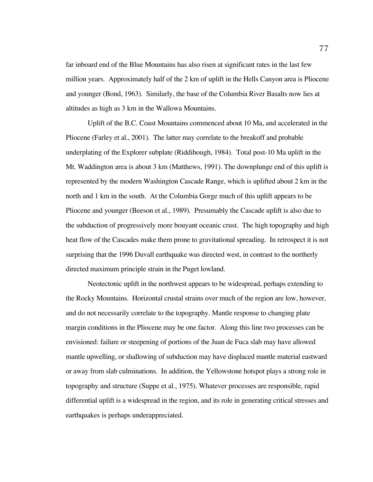far inboard end of the Blue Mountains has also risen at significant rates in the last few million years. Approximately half of the 2 km of uplift in the Hells Canyon area is Pliocene and younger (Bond, 1963). Similarly, the base of the Columbia River Basalts now lies at altitudes as high as 3 km in the Wallowa Mountains.

Uplift of the B.C. Coast Mountains commenced about 10 Ma, and accelerated in the Pliocene (Farley et al., 2001). The latter may correlate to the breakoff and probable underplating of the Explorer subplate (Riddihough, 1984). Total post-10 Ma uplift in the Mt. Waddington area is about 3 km (Matthews, 1991). The downplunge end of this uplift is represented by the modern Washington Cascade Range, which is uplifted about 2 km in the north and 1 km in the south. At the Columbia Gorge much of this uplift appears to be Pliocene and younger (Beeson et al., 1989). Presumably the Cascade uplift is also due to the subduction of progressively more bouyant oceanic crust. The high topography and high heat flow of the Cascades make them prone to gravitational spreading. In retrospect it is not surprising that the 1996 Duvall earthquake was directed west, in contrast to the northerly directed maximum principle strain in the Puget lowland.

Neotectonic uplift in the northwest appears to be widespread, perhaps extending to the Rocky Mountains. Horizontal crustal strains over much of the region are low, however, and do not necessarily correlate to the topography. Mantle response to changing plate margin conditions in the Pliocene may be one factor. Along this line two processes can be envisioned: failure or steepening of portions of the Juan de Fuca slab may have allowed mantle upwelling, or shallowing of subduction may have displaced mantle material eastward or away from slab culminations. In addition, the Yellowstone hotspot plays a strong role in topography and structure (Suppe et al., 1975). Whatever processes are responsible, rapid differential uplift is a widespread in the region, and its role in generating critical stresses and earthquakes is perhaps underappreciated.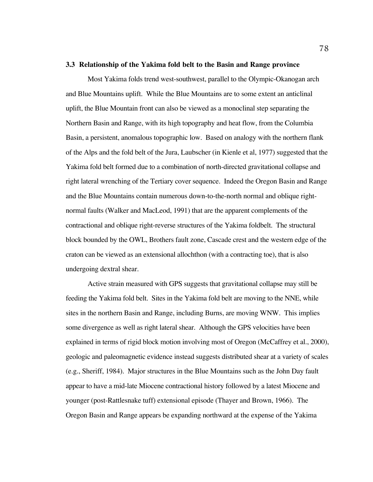# **3.3 Relationship of the Yakima fold belt to the Basin and Range province**

Most Yakima folds trend west-southwest, parallel to the Olympic-Okanogan arch and Blue Mountains uplift. While the Blue Mountains are to some extent an anticlinal uplift, the Blue Mountain front can also be viewed as a monoclinal step separating the Northern Basin and Range, with its high topography and heat flow, from the Columbia Basin, a persistent, anomalous topographic low. Based on analogy with the northern flank of the Alps and the fold belt of the Jura, Laubscher (in Kienle et al, 1977) suggested that the Yakima fold belt formed due to a combination of north-directed gravitational collapse and right lateral wrenching of the Tertiary cover sequence. Indeed the Oregon Basin and Range and the Blue Mountains contain numerous down-to-the-north normal and oblique rightnormal faults (Walker and MacLeod, 1991) that are the apparent complements of the contractional and oblique right-reverse structures of the Yakima foldbelt. The structural block bounded by the OWL, Brothers fault zone, Cascade crest and the western edge of the craton can be viewed as an extensional allochthon (with a contracting toe), that is also undergoing dextral shear.

Active strain measured with GPS suggests that gravitational collapse may still be feeding the Yakima fold belt. Sites in the Yakima fold belt are moving to the NNE, while sites in the northern Basin and Range, including Burns, are moving WNW. This implies some divergence as well as right lateral shear. Although the GPS velocities have been explained in terms of rigid block motion involving most of Oregon (McCaffrey et al., 2000), geologic and paleomagnetic evidence instead suggests distributed shear at a variety of scales (e.g., Sheriff, 1984). Major structures in the Blue Mountains such as the John Day fault appear to have a mid-late Miocene contractional history followed by a latest Miocene and younger (post-Rattlesnake tuff) extensional episode (Thayer and Brown, 1966). The Oregon Basin and Range appears be expanding northward at the expense of the Yakima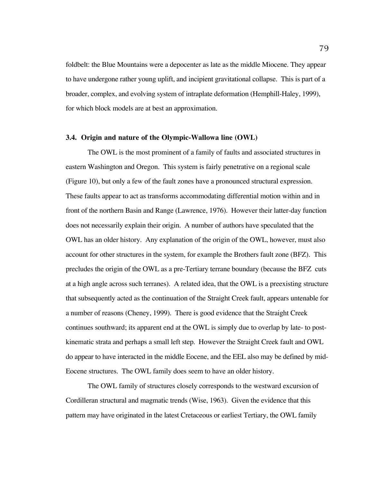foldbelt: the Blue Mountains were a depocenter as late as the middle Miocene. They appear to have undergone rather young uplift, and incipient gravitational collapse. This is part of a broader, complex, and evolving system of intraplate deformation (Hemphill-Haley, 1999), for which block models are at best an approximation.

### **3.4. Origin and nature of the Olympic-Wallowa line (OWL)**

The OWL is the most prominent of a family of faults and associated structures in eastern Washington and Oregon. This system is fairly penetrative on a regional scale (Figure 10), but only a few of the fault zones have a pronounced structural expression. These faults appear to act as transforms accommodating differential motion within and in front of the northern Basin and Range (Lawrence, 1976). However their latter-day function does not necessarily explain their origin. A number of authors have speculated that the OWL has an older history. Any explanation of the origin of the OWL, however, must also account for other structures in the system, for example the Brothers fault zone (BFZ). This precludes the origin of the OWL as a pre-Tertiary terrane boundary (because the BFZ cuts at a high angle across such terranes). A related idea, that the OWL is a preexisting structure that subsequently acted as the continuation of the Straight Creek fault, appears untenable for a number of reasons (Cheney, 1999). There is good evidence that the Straight Creek continues southward; its apparent end at the OWL is simply due to overlap by late- to postkinematic strata and perhaps a small left step. However the Straight Creek fault and OWL do appear to have interacted in the middle Eocene, and the EEL also may be defined by mid-Eocene structures. The OWL family does seem to have an older history.

The OWL family of structures closely corresponds to the westward excursion of Cordilleran structural and magmatic trends (Wise, 1963). Given the evidence that this pattern may have originated in the latest Cretaceous or earliest Tertiary, the OWL family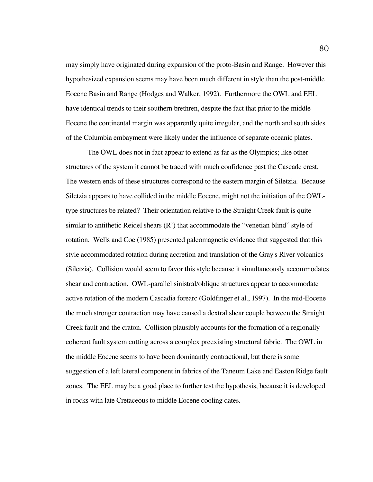may simply have originated during expansion of the proto-Basin and Range. However this hypothesized expansion seems may have been much different in style than the post-middle Eocene Basin and Range (Hodges and Walker, 1992). Furthermore the OWL and EEL have identical trends to their southern brethren, despite the fact that prior to the middle Eocene the continental margin was apparently quite irregular, and the north and south sides of the Columbia embayment were likely under the influence of separate oceanic plates.

The OWL does not in fact appear to extend as far as the Olympics; like other structures of the system it cannot be traced with much confidence past the Cascade crest. The western ends of these structures correspond to the eastern margin of Siletzia. Because Siletzia appears to have collided in the middle Eocene, might not the initiation of the OWLtype structures be related? Their orientation relative to the Straight Creek fault is quite similar to antithetic Reidel shears  $(R')$  that accommodate the "venetian blind" style of rotation. Wells and Coe (1985) presented paleomagnetic evidence that suggested that this style accommodated rotation during accretion and translation of the Gray's River volcanics (Siletzia). Collision would seem to favor this style because it simultaneously accommodates shear and contraction. OWL-parallel sinistral/oblique structures appear to accommodate active rotation of the modern Cascadia forearc (Goldfinger et al., 1997). In the mid-Eocene the much stronger contraction may have caused a dextral shear couple between the Straight Creek fault and the craton. Collision plausibly accounts for the formation of a regionally coherent fault system cutting across a complex preexisting structural fabric. The OWL in the middle Eocene seems to have been dominantly contractional, but there is some suggestion of a left lateral component in fabrics of the Taneum Lake and Easton Ridge fault zones. The EEL may be a good place to further test the hypothesis, because it is developed in rocks with late Cretaceous to middle Eocene cooling dates.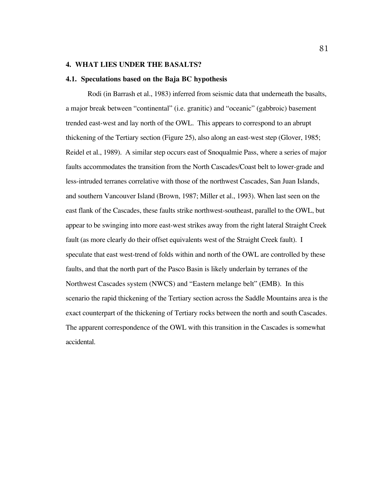# **4. WHAT LIES UNDER THE BASALTS?**

### **4.1. Speculations based on the Baja BC hypothesis**

Rodi (in Barrash et al., 1983) inferred from seismic data that underneath the basalts, a major break between "continental" (i.e. granitic) and "oceanic" (gabbroic) basement trended east-west and lay north of the OWL. This appears to correspond to an abrupt thickening of the Tertiary section (Figure 25), also along an east-west step (Glover, 1985; Reidel et al., 1989). A similar step occurs east of Snoqualmie Pass, where a series of major faults accommodates the transition from the North Cascades/Coast belt to lower-grade and less-intruded terranes correlative with those of the northwest Cascades, San Juan Islands, and southern Vancouver Island (Brown, 1987; Miller et al., 1993). When last seen on the east flank of the Cascades, these faults strike northwest-southeast, parallel to the OWL, but appear to be swinging into more east-west strikes away from the right lateral Straight Creek fault (as more clearly do their offset equivalents west of the Straight Creek fault). I speculate that east west-trend of folds within and north of the OWL are controlled by these faults, and that the north part of the Pasco Basin is likely underlain by terranes of the Northwest Cascades system (NWCS) and "Eastern melange belt" (EMB). In this scenario the rapid thickening of the Tertiary section across the Saddle Mountains area is the exact counterpart of the thickening of Tertiary rocks between the north and south Cascades. The apparent correspondence of the OWL with this transition in the Cascades is somewhat accidental.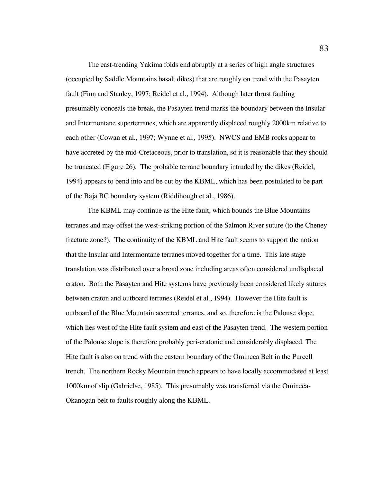The east-trending Yakima folds end abruptly at a series of high angle structures (occupied by Saddle Mountains basalt dikes) that are roughly on trend with the Pasayten fault (Finn and Stanley, 1997; Reidel et al., 1994). Although later thrust faulting presumably conceals the break, the Pasayten trend marks the boundary between the Insular and Intermontane superterranes, which are apparently displaced roughly 2000km relative to each other (Cowan et al., 1997; Wynne et al., 1995). NWCS and EMB rocks appear to have accreted by the mid-Cretaceous, prior to translation, so it is reasonable that they should be truncated (Figure 26). The probable terrane boundary intruded by the dikes (Reidel, 1994) appears to bend into and be cut by the KBML, which has been postulated to be part of the Baja BC boundary system (Riddihough et al., 1986).

The KBML may continue as the Hite fault, which bounds the Blue Mountains terranes and may offset the west-striking portion of the Salmon River suture (to the Cheney fracture zone?). The continuity of the KBML and Hite fault seems to support the notion that the Insular and Intermontane terranes moved together for a time. This late stage translation was distributed over a broad zone including areas often considered undisplaced craton. Both the Pasayten and Hite systems have previously been considered likely sutures between craton and outboard terranes (Reidel et al., 1994). However the Hite fault is outboard of the Blue Mountain accreted terranes, and so, therefore is the Palouse slope, which lies west of the Hite fault system and east of the Pasayten trend. The western portion of the Palouse slope is therefore probably peri-cratonic and considerably displaced. The Hite fault is also on trend with the eastern boundary of the Omineca Belt in the Purcell trench. The northern Rocky Mountain trench appears to have locally accommodated at least 1000km of slip (Gabrielse, 1985). This presumably was transferred via the Omineca-Okanogan belt to faults roughly along the KBML.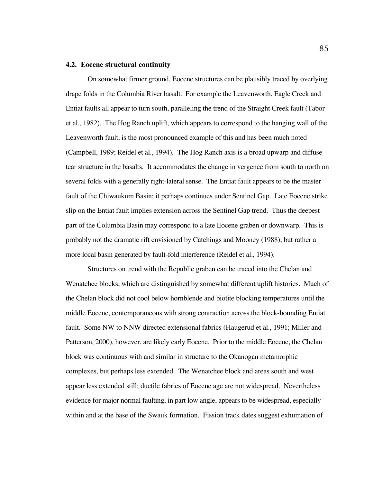## **4.2. Eocene structural continuity**

On somewhat firmer ground, Eocene structures can be plausibly traced by overlying drape folds in the Columbia River basalt. For example the Leavenworth, Eagle Creek and Entiat faults all appear to turn south, paralleling the trend of the Straight Creek fault (Tabor et al., 1982). The Hog Ranch uplift, which appears to correspond to the hanging wall of the Leavenworth fault, is the most pronounced example of this and has been much noted (Campbell, 1989; Reidel et al., 1994). The Hog Ranch axis is a broad upwarp and diffuse tear structure in the basalts. It accommodates the change in vergence from south to north on several folds with a generally right-lateral sense. The Entiat fault appears to be the master fault of the Chiwaukum Basin; it perhaps continues under Sentinel Gap. Late Eocene strike slip on the Entiat fault implies extension across the Sentinel Gap trend. Thus the deepest part of the Columbia Basin may correspond to a late Eocene graben or downwarp. This is probably not the dramatic rift envisioned by Catchings and Mooney (1988), but rather a more local basin generated by fault-fold interference (Reidel et al., 1994).

Structures on trend with the Republic graben can be traced into the Chelan and Wenatchee blocks, which are distinguished by somewhat different uplift histories. Much of the Chelan block did not cool below hornblende and biotite blocking temperatures until the middle Eocene, contemporaneous with strong contraction across the block-bounding Entiat fault. Some NW to NNW directed extensional fabrics (Haugerud et al., 1991; Miller and Patterson, 2000), however, are likely early Eocene. Prior to the middle Eocene, the Chelan block was continuous with and similar in structure to the Okanogan metamorphic complexes, but perhaps less extended. The Wenatchee block and areas south and west appear less extended still; ductile fabrics of Eocene age are not widespread. Nevertheless evidence for major normal faulting, in part low angle, appears to be widespread, especially within and at the base of the Swauk formation. Fission track dates suggest exhumation of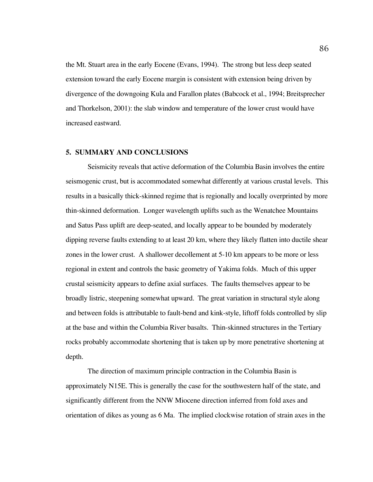the Mt. Stuart area in the early Eocene (Evans, 1994). The strong but less deep seated extension toward the early Eocene margin is consistent with extension being driven by divergence of the downgoing Kula and Farallon plates (Babcock et al., 1994; Breitsprecher and Thorkelson, 2001): the slab window and temperature of the lower crust would have increased eastward.

# **5. SUMMARY AND CONCLUSIONS**

Seismicity reveals that active deformation of the Columbia Basin involves the entire seismogenic crust, but is accommodated somewhat differently at various crustal levels. This results in a basically thick-skinned regime that is regionally and locally overprinted by more thin-skinned deformation. Longer wavelength uplifts such as the Wenatchee Mountains and Satus Pass uplift are deep-seated, and locally appear to be bounded by moderately dipping reverse faults extending to at least 20 km, where they likely flatten into ductile shear zones in the lower crust. A shallower decollement at 5-10 km appears to be more or less regional in extent and controls the basic geometry of Yakima folds. Much of this upper crustal seismicity appears to define axial surfaces. The faults themselves appear to be broadly listric, steepening somewhat upward. The great variation in structural style along and between folds is attributable to fault-bend and kink-style, liftoff folds controlled by slip at the base and within the Columbia River basalts. Thin-skinned structures in the Tertiary rocks probably accommodate shortening that is taken up by more penetrative shortening at depth.

The direction of maximum principle contraction in the Columbia Basin is approximately N15E. This is generally the case for the southwestern half of the state, and significantly different from the NNW Miocene direction inferred from fold axes and orientation of dikes as young as 6 Ma. The implied clockwise rotation of strain axes in the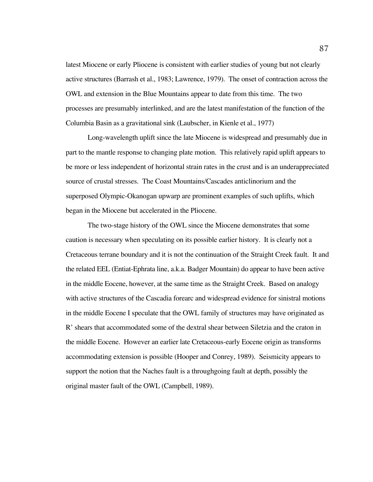latest Miocene or early Pliocene is consistent with earlier studies of young but not clearly active structures (Barrash et al., 1983; Lawrence, 1979). The onset of contraction across the OWL and extension in the Blue Mountains appear to date from this time. The two processes are presumably interlinked, and are the latest manifestation of the function of the Columbia Basin as a gravitational sink (Laubscher, in Kienle et al., 1977)

Long-wavelength uplift since the late Miocene is widespread and presumably due in part to the mantle response to changing plate motion. This relatively rapid uplift appears to be more or less independent of horizontal strain rates in the crust and is an underappreciated source of crustal stresses. The Coast Mountains/Cascades anticlinorium and the superposed Olympic-Okanogan upwarp are prominent examples of such uplifts, which began in the Miocene but accelerated in the Pliocene.

The two-stage history of the OWL since the Miocene demonstrates that some caution is necessary when speculating on its possible earlier history. It is clearly not a Cretaceous terrane boundary and it is not the continuation of the Straight Creek fault. It and the related EEL (Entiat-Ephrata line, a.k.a. Badger Mountain) do appear to have been active in the middle Eocene, however, at the same time as the Straight Creek. Based on analogy with active structures of the Cascadia forearc and widespread evidence for sinistral motions in the middle Eocene I speculate that the OWL family of structures may have originated as R' shears that accommodated some of the dextral shear between Siletzia and the craton in the middle Eocene. However an earlier late Cretaceous-early Eocene origin as transforms accommodating extension is possible (Hooper and Conrey, 1989). Seismicity appears to support the notion that the Naches fault is a throughgoing fault at depth, possibly the original master fault of the OWL (Campbell, 1989).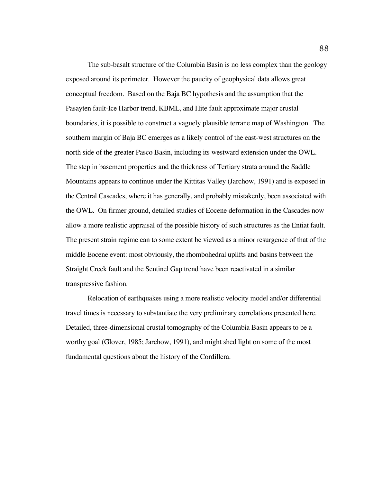The sub-basalt structure of the Columbia Basin is no less complex than the geology exposed around its perimeter. However the paucity of geophysical data allows great conceptual freedom. Based on the Baja BC hypothesis and the assumption that the Pasayten fault-Ice Harbor trend, KBML, and Hite fault approximate major crustal boundaries, it is possible to construct a vaguely plausible terrane map of Washington. The southern margin of Baja BC emerges as a likely control of the east-west structures on the north side of the greater Pasco Basin, including its westward extension under the OWL. The step in basement properties and the thickness of Tertiary strata around the Saddle Mountains appears to continue under the Kittitas Valley (Jarchow, 1991) and is exposed in the Central Cascades, where it has generally, and probably mistakenly, been associated with the OWL. On firmer ground, detailed studies of Eocene deformation in the Cascades now allow a more realistic appraisal of the possible history of such structures as the Entiat fault. The present strain regime can to some extent be viewed as a minor resurgence of that of the middle Eocene event: most obviously, the rhombohedral uplifts and basins between the Straight Creek fault and the Sentinel Gap trend have been reactivated in a similar transpressive fashion.

Relocation of earthquakes using a more realistic velocity model and/or differential travel times is necessary to substantiate the very preliminary correlations presented here. Detailed, three-dimensional crustal tomography of the Columbia Basin appears to be a worthy goal (Glover, 1985; Jarchow, 1991), and might shed light on some of the most fundamental questions about the history of the Cordillera.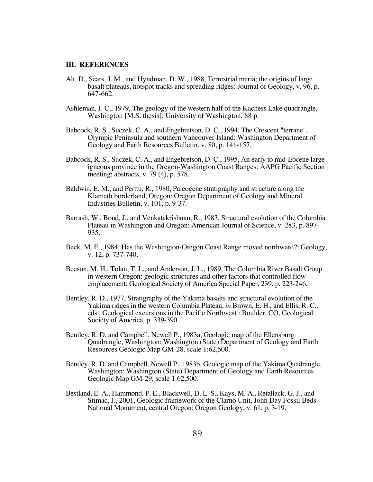# **III. REFERENCES**

- Alt, D., Sears, J. M., and Hyndman, D. W., 1988, Terrestrial maria; the origins of large basalt plateaus, hotspot tracks and spreading ridges: Journal of Geology, v. 96, p. 647-662.
- Ashleman, J. C., 1979, The geology of the western half of the Kachess Lake quadrangle, Washington [M.S. thesis]: University of Washington, 88 p.
- Babcock, R. S., Suczek, C. A., and Engebretson, D. C., 1994, The Crescent "terrane", Olympic Peninsula and southern Vancouver Island: Washington Department of Geology and Earth Resources Bulletin, v. 80, p. 141-157.
- Babcock, R. S., Suczek, C. A., and Engebretson, D. C., 1995, An early to mid-Eocene large igneous province in the Oregon-Washington Coast Ranges: AAPG Pacific Section meeting; abstracts, v. 79 (4), p. 578.
- Baldwin, E. M., and Perttu, R., 1980, Paleogene stratigraphy and structure along the Klamath borderland, Oregon: Oregon Department of Geology and Mineral Industries Bulletin, v. 101, p. 9-37.
- Barrash, W., Bond, J., and Venkatakrishnan, R., 1983, Structural evolution of the Columbia Plateau in Washington and Oregon: American Journal of Science, v. 283, p. 897- 935.
- Beck, M. E., 1984, Has the Washington-Oregon Coast Range moved northward?: Geology, v. 12, p. 737-740.
- Beeson, M. H., Tolan, T. L., and Anderson, J. L., 1989, The Columbia River Basalt Group in western Oregon: geologic structures and other factors that controlled flow emplacement: Geological Society of America Special Paper, 239, p. 223-246.
- Bentley, R. D., 1977, Stratigraphy of the Yakima basalts and structural evolution of the Yakima ridges in the western Columbia Plateau, *in* Brown, E. H., and Ellis, R. C., eds., Geological excursions in the Pacific Northwest : Boulder, CO, Geological Society of America, p. 339-390.
- Bentley, R. D. and Campbell, Newell P., 1983a, Geologic map of the Ellensburg Quadrangle, Washington: Washington (State) Department of Geology and Earth Resources Geologic Map GM-28, scale 1:62,500.
- Bentley, R. D. and Campbell, Newell P., 1983b, Geologic map of the Yakima Quadrangle, Washington: Washington (State) Department of Geology and Earth Resources Geologic Map GM-29, scale 1:62,500.
- Bestland, E. A., Hammond, P. E., Blackwell, D. L. S., Kays, M. A., Retallack, G. J., and Stimac, J., 2001, Geologic framework of the Clarno Unit, John Day Fossil Beds National Monument, central Oregon: Oregon Geology, v. 61, p. 3-19.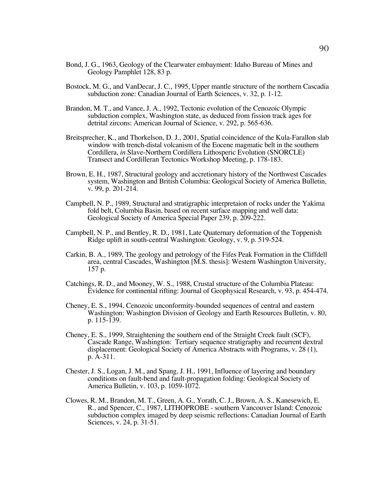- Bond, J. G., 1963, Geology of the Clearwater embayment: Idaho Bureau of Mines and Geology Pamphlet 128, 83 p.
- Bostock, M. G., and VanDecar, J. C., 1995, Upper mantle structure of the northern Cascadia subduction zone: Canadian Journal of Earth Sciences, v. 32, p. 1-12.
- Brandon, M. T., and Vance, J. A., 1992, Tectonic evolution of the Cenozoic Olympic subduction complex, Washington state, as deduced from fission track ages for detrital zircons: American Journal of Science, v. 292, p. 565-636.
- Breitsprecher, K., and Thorkelson, D. J., 2001, Spatial coincidence of the Kula-Farallon slab window with trench-distal volcanism of the Eocene magmatic belt in the southern Cordillera, *in* Slave-Northern Cordillera Lithosperic Evolution (SNORCLE) Transect and Cordilleran Tectonics Workshop Meeting, p. 178-183.
- Brown, E. H., 1987, Structural geology and accretionary history of the Northwest Cascades system, Washington and British Columbia: Geological Society of America Bulletin, v. 99, p. 201-214.
- Campbell, N. P., 1989, Structural and stratigraphic interpretaion of rocks under the Yakima fold belt, Columbia Basin, based on recent surface mapping and well data: Geological Society of America Special Paper 239, p. 209-222.
- Campbell, N. P., and Bentley, R. D., 1981, Late Quaternary deformation of the Toppenish Ridge uplift in south-central Washington: Geology, v. 9, p. 519-524.
- Carkin, B. A., 1989, The geology and petrology of the Fifes Peak Formation in the Cliffdell area, central Cascades, Washington [M.S. thesis]: Western Washington University, 157 p.
- Catchings, R. D., and Mooney, W. S., 1988, Crustal structure of the Columbia Plateau: Evidence for continental rifting: Journal of Geophysical Research, v. 93, p. 454-474.
- Cheney, E. S., 1994, Cenozoic unconformity-bounded sequences of central and eastern Washington: Washington Division of Geology and Earth Resources Bulletin, v. 80, p. 115-139.
- Cheney, E. S., 1999, Straightening the southern end of the Straight Creek fault (SCF), Cascade Range, Washington: Tertiary sequence stratigraphy and recurrent dextral displacement: Geological Society of America Abstracts with Programs, v. 28 (1), p. A-311.
- Chester, J. S., Logan, J. M., and Spang, J. H., 1991, Influence of layering and boundary conditions on fault-bend and fault-propagation folding: Geological Society of America Bulletin, v. 103, p. 1059-1072.
- Clowes, R. M., Brandon, M. T., Green, A. G., Yorath, C. J., Brown, A. S., Kanesewich, E. R., and Spencer, C., 1987, LITHOPROBE - southern Vancouver Island: Cenozoic subduction complex imaged by deep seismic reflections: Canadian Journal of Earth Sciences, v. 24, p. 31-51.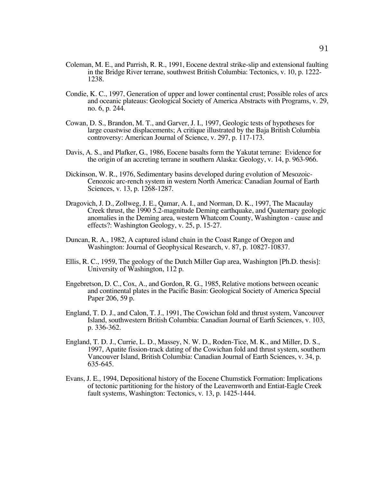- Coleman, M. E., and Parrish, R. R., 1991, Eocene dextral strike-slip and extensional faulting in the Bridge River terrane, southwest British Columbia: Tectonics, v. 10, p. 1222- 1238.
- Condie, K. C., 1997, Generation of upper and lower continental crust; Possible roles of arcs and oceanic plateaus: Geological Society of America Abstracts with Programs, v. 29, no. 6, p. 244.
- Cowan, D. S., Brandon, M. T., and Garver, J. I., 1997, Geologic tests of hypotheses for large coastwise displacements; A critique illustrated by the Baja British Columbia controversy: American Journal of Science, v. 297, p. 117-173.
- Davis, A. S., and Plafker, G., 1986, Eocene basalts form the Yakutat terrane: Evidence for the origin of an accreting terrane in southern Alaska: Geology, v. 14, p. 963-966.
- Dickinson, W. R., 1976, Sedimentary basins developed during evolution of Mesozoic-Cenozoic arc-rench system in western North America: Canadian Journal of Earth Sciences, v. 13, p. 1268-1287.
- Dragovich, J. D., Zollweg, J. E., Qamar, A. I., and Norman, D. K., 1997, The Macaulay Creek thrust, the 1990 5.2-magnitude Deming earthquake, and Quaternary geologic anomalies in the Deming area, western Whatcom County, Washington - cause and effects?: Washington Geology, v. 25, p. 15-27.
- Duncan, R. A., 1982, A captured island chain in the Coast Range of Oregon and Washington: Journal of Geophysical Research, v. 87, p. 10827-10837.
- Ellis, R. C., 1959, The geology of the Dutch Miller Gap area, Washington [Ph.D. thesis]: University of Washington, 112 p.
- Engebretson, D. C., Cox, A., and Gordon, R. G., 1985, Relative motions between oceanic and continental plates in the Pacific Basin: Geological Society of America Special Paper 206, 59 p.
- England, T. D. J., and Calon, T. J., 1991, The Cowichan fold and thrust system, Vancouver Island, southwestern British Columbia: Canadian Journal of Earth Sciences, v. 103, p. 336-362.
- England, T. D. J., Currie, L. D., Massey, N. W. D., Roden-Tice, M. K., and Miller, D. S., 1997, Apatite fission-track dating of the Cowichan fold and thrust system, southern Vancouver Island, British Columbia: Canadian Journal of Earth Sciences, v. 34, p. 635-645.
- Evans, J. E., 1994, Depositional history of the Eocene Chumstick Formation: Implications of tectonic partitioning for the history of the Leavernworth and Entiat-Eagle Creek fault systems, Washington: Tectonics, v. 13, p. 1425-1444.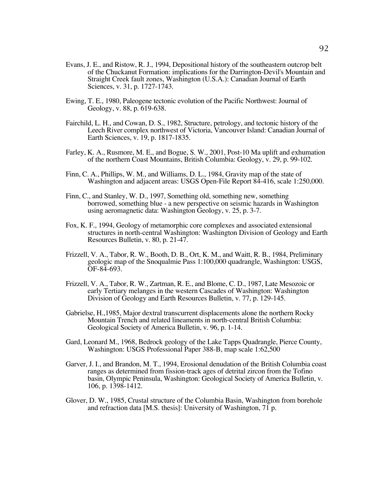- Evans, J. E., and Ristow, R. J., 1994, Depositional history of the southeastern outcrop belt of the Chuckanut Formation: implications for the Darrington-Devil's Mountain and Straight Creek fault zones, Washington (U.S.A.): Canadian Journal of Earth Sciences, v. 31, p. 1727-1743.
- Ewing, T. E., 1980, Paleogene tectonic evolution of the Pacific Northwest: Journal of Geology, v. 88, p. 619-638.
- Fairchild, L. H., and Cowan, D. S., 1982, Structure, petrology, and tectonic history of the Leech River complex northwest of Victoria, Vancouver Island: Canadian Journal of Earth Sciences, v. 19, p. 1817-1835.
- Farley, K. A., Rusmore, M. E., and Bogue, S. W., 2001, Post-10 Ma uplift and exhumation of the northern Coast Mountains, British Columbia: Geology, v. 29, p. 99-102.
- Finn, C. A., Phillips, W. M., and Williams, D. L., 1984, Gravity map of the state of Washington and adjacent areas: USGS Open-File Report 84-416, scale 1:250,000.
- Finn, C., and Stanley, W. D., 1997, Something old, something new, something borrowed, something blue - a new perspective on seismic hazards in Washington using aeromagnetic data: Washington Geology, v. 25, p. 3-7.
- Fox, K. F., 1994, Geology of metamorphic core complexes and associated extensional structures in north-central Washington: Washington Division of Geology and Earth Resources Bulletin, v. 80, p. 21-47.
- Frizzell, V. A., Tabor, R. W., Booth, D. B., Ort, K. M., and Waitt, R. B., 1984, Preliminary geologic map of the Snoqualmie Pass 1:100,000 quadrangle, Washington: USGS, OF-84-693.
- Frizzell, V. A., Tabor, R. W., Zartman, R. E., and Blome, C. D., 1987, Late Mesozoic or early Tertiary melanges in the western Cascades of Washington: Washington Division of Geology and Earth Resources Bulletin, v. 77, p. 129-145.
- Gabrielse, H.,1985, Major dextral transcurrent displacements alone the northern Rocky Mountain Trench and related lineaments in north-central British Columbia: Geological Society of America Bulletin, v. 96, p. 1-14.
- Gard, Leonard M., 1968, Bedrock geology of the Lake Tapps Quadrangle, Pierce County, Washington: USGS Professional Paper 388-B, map scale 1:62,500
- Garver, J. I., and Brandon, M. T., 1994, Erosional denudation of the British Columbia coast ranges as determined from fission-track ages of detrital zircon from the Tofino basin, Olympic Peninsula, Washington: Geological Society of America Bulletin, v. 106, p. 1398-1412.
- Glover, D. W., 1985, Crustal structure of the Columbia Basin, Washington from borehole and refraction data [M.S. thesis]: University of Washington, 71 p.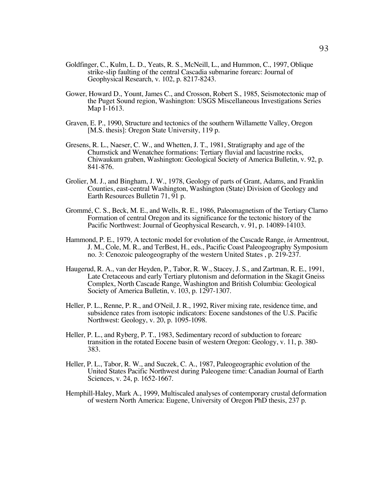- Goldfinger, C., Kulm, L. D., Yeats, R. S., McNeill, L., and Hummon, C., 1997, Oblique strike-slip faulting of the central Cascadia submarine forearc: Journal of Geophysical Research, v. 102, p. 8217-8243.
- Gower, Howard D., Yount, James C., and Crosson, Robert S., 1985, Seismotectonic map of the Puget Sound region, Washington: USGS Miscellaneous Investigations Series Map I-1613.
- Graven, E. P., 1990, Structure and tectonics of the southern Willamette Valley, Oregon [M.S. thesis]: Oregon State University, 119 p.
- Gresens, R. L., Naeser, C. W., and Whetten, J. T., 1981, Stratigraphy and age of the Chumstick and Wenatchee formations: Tertiary fluvial and lacustrine rocks, Chiwaukum graben, Washington: Geological Society of America Bulletin, v. 92, p. 841-876.
- Grolier, M. J., and Bingham, J. W., 1978, Geology of parts of Grant, Adams, and Franklin Counties, east-central Washington, Washington (State) Division of Geology and Earth Resources Bulletin 71, 91 p.
- Grommé, C. S., Beck, M. E., and Wells, R. E., 1986, Paleomagnetism of the Tertiary Clarno Formation of central Oregon and its significance for the tectonic history of the Pacific Northwest: Journal of Geophysical Research, v. 91, p. 14089-14103.
- Hammond, P. E., 1979, A tectonic model for evolution of the Cascade Range, *in* Armentrout, J. M., Cole, M. R., and TerBest, H., eds., Pacific Coast Paleogeography Symposium no. 3: Cenozoic paleogeography of the western United States , p. 219-237.
- Haugerud, R. A., van der Heyden, P., Tabor, R. W., Stacey, J. S., and Zartman, R. E., 1991, Late Cretaceous and early Tertiary plutonism and deformation in the Skagit Gneiss Complex, North Cascade Range, Washington and British Columbia: Geological Society of America Bulletin, v. 103, p. 1297-1307.
- Heller, P. L., Renne, P. R., and O'Neil, J. R., 1992, River mixing rate, residence time, and subsidence rates from isotopic indicators: Eocene sandstones of the U.S. Pacific Northwest: Geology, v. 20, p. 1095-1098.
- Heller, P. L., and Ryberg, P. T., 1983, Sedimentary record of subduction to forearc transition in the rotated Eocene basin of western Oregon: Geology, v. 11, p. 380- 383.
- Heller, P. L., Tabor, R. W., and Suczek, C. A., 1987, Paleogeographic evolution of the United States Pacific Northwest during Paleogene time: Canadian Journal of Earth Sciences, v. 24, p. 1652-1667.
- Hemphill-Haley, Mark A., 1999, Multiscaled analyses of contemporary crustal deformation of western North America: Eugene, University of Oregon PhD thesis, 237 p.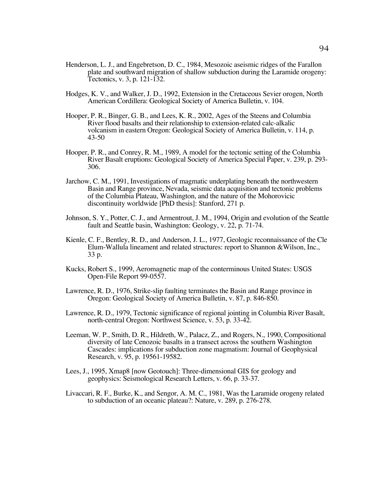- Henderson, L. J., and Engebretson, D. C., 1984, Mesozoic aseismic ridges of the Farallon plate and southward migration of shallow subduction during the Laramide orogeny: Tectonics, v. 3, p. 121-132.
- Hodges, K. V., and Walker, J. D., 1992, Extension in the Cretaceous Sevier orogen, North American Cordillera: Geological Society of America Bulletin, v. 104.
- Hooper, P. R., Binger, G. B., and Lees, K. R., 2002, Ages of the Steens and Columbia River flood basalts and their relationship to extension-related calc-alkalic volcanism in eastern Oregon: Geological Society of America Bulletin, v. 114, p. 43-50
- Hooper, P. R., and Conrey, R. M., 1989, A model for the tectonic setting of the Columbia River Basalt eruptions: Geological Society of America Special Paper, v. 239, p. 293- 306.
- Jarchow, C. M., 1991, Investigations of magmatic underplating beneath the northwestern Basin and Range province, Nevada, seismic data acquisition and tectonic problems of the Columbia Plateau, Washington, and the nature of the Mohorovicic discontinuity worldwide [PhD thesis]: Stanford, 271 p.
- Johnson, S. Y., Potter, C. J., and Armentrout, J. M., 1994, Origin and evolution of the Seattle fault and Seattle basin, Washington: Geology, v. 22, p. 71-74.
- Kienle, C. F., Bentley, R. D., and Anderson, J. L., 1977, Geologic reconnaissance of the Cle Elum-Wallula lineament and related structures: report to Shannon &Wilson, Inc., 33 p.
- Kucks, Robert S., 1999, Aeromagnetic map of the conterminous United States: USGS Open-File Report 99-0557.
- Lawrence, R. D., 1976, Strike-slip faulting terminates the Basin and Range province in Oregon: Geological Society of America Bulletin, v. 87, p. 846-850.
- Lawrence, R. D., 1979, Tectonic significance of regional jointing in Columbia River Basalt, north-central Oregon: Northwest Science, v. 53, p. 33-42.
- Leeman, W. P., Smith, D. R., Hildreth, W., Palacz, Z., and Rogers, N., 1990, Compositional diversity of late Cenozoic basalts in a transect across the southern Washington Cascades: implications for subduction zone magmatism: Journal of Geophysical Research, v. 95, p. 19561-19582.
- Lees, J., 1995, Xmap8 [now Geotouch]: Three-dimensional GIS for geology and geophysics: Seismological Research Letters, v. 66, p. 33-37.
- Livaccari, R. F., Burke, K., and Sengor, A. M. C., 1981, Was the Laramide orogeny related to subduction of an oceanic plateau?: Nature, v. 289, p. 276-278.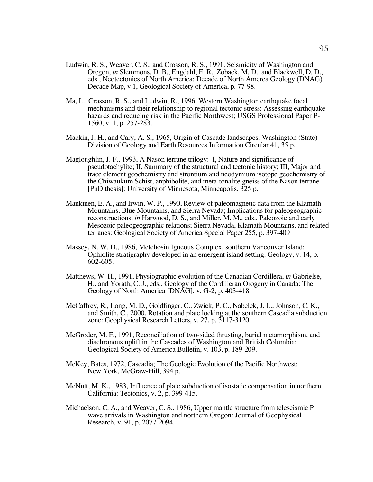- Ludwin, R. S., Weaver, C. S., and Crosson, R. S., 1991, Seismicity of Washington and Oregon, *in* Slemmons, D. B., Engdahl, E. R., Zoback, M. D., and Blackwell, D. D., eds., Neotectonics of North America: Decade of North Amerca Geology (DNAG) Decade Map, v 1, Geological Society of America, p. 77-98.
- Ma, L., Crosson, R. S., and Ludwin, R., 1996, Western Washington earthquake focal mechanisms and their relationship to regional tectonic stress: Assessing earthquake hazards and reducing risk in the Pacific Northwest; USGS Professional Paper P-1560, v. 1, p. 257-283.
- Mackin, J. H., and Cary, A. S., 1965, Origin of Cascade landscapes: Washington (State) Division of Geology and Earth Resources Information Circular 41, 35 p.
- Magloughlin, J. F., 1993, A Nason terrane trilogy: I, Nature and significance of pseudotachylite; II, Summary of the structural and tectonic history; III, Major and trace element geochemistry and strontium and neodymium isotope geochemistry of the Chiwaukum Schist, anphibolite, and meta-tonalite gneiss of the Nason terrane [PhD thesis]: University of Minnesota, Minneapolis, 325 p.
- Mankinen, E. A., and Irwin, W. P., 1990, Review of paleomagnetic data from the Klamath Mountains, Blue Mountains, and Sierra Nevada; Implications for paleogeographic reconstructions, *in* Harwood, D. S., and Miller, M. M., eds., Paleozoic and early Mesozoic paleogeographic relations; Sierra Nevada, Klamath Mountains, and related terranes: Geological Society of America Special Paper 255, p. 397-409
- Massey, N. W. D., 1986, Metchosin Igneous Complex, southern Vancouver Island: Ophiolite stratigraphy developed in an emergent island setting: Geology, v. 14, p. 602-605.
- Matthews, W. H., 1991, Physiographic evolution of the Canadian Cordillera, *in* Gabrielse, H., and Yorath, C. J., eds., Geology of the Cordilleran Orogeny in Canada: The Geology of North America [DNAG], v. G-2, p. 403-418.
- McCaffrey, R., Long, M. D., Goldfinger, C., Zwick, P. C., Nabelek, J. L., Johnson, C. K., and Smith, C., 2000, Rotation and plate locking at the southern Cascadia subduction zone: Geophysical Research Letters, v. 27, p. 3117-3120.
- McGroder, M. F., 1991, Reconciliation of two-sided thrusting, burial metamorphism, and diachronous uplift in the Cascades of Washington and British Columbia: Geological Society of America Bulletin, v. 103, p. 189-209.
- McKey, Bates, 1972, Cascadia; The Geologic Evolution of the Pacific Northwest: New York, McGraw-Hill, 394 p.
- McNutt, M. K., 1983, Influence of plate subduction of isostatic compensation in northern California: Tectonics, v. 2, p. 399-415.
- Michaelson, C. A., and Weaver, C. S., 1986, Upper mantle structure from teleseismic P wave arrivals in Washington and northern Oregon: Journal of Geophysical Research, v. 91, p. 2077-2094.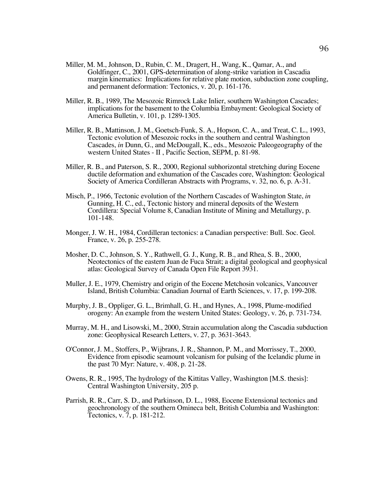- Miller, M. M., Johnson, D., Rubin, C. M., Dragert, H., Wang, K., Qamar, A., and Goldfinger, C., 2001, GPS-determination of along-strike variation in Cascadia margin kinematics: Implications for relative plate motion, subduction zone coupling, and permanent deformation: Tectonics, v. 20, p. 161-176.
- Miller, R. B., 1989, The Mesozoic Rimrock Lake Inlier, southern Washington Cascades; implications for the basement to the Columbia Embayment: Geological Society of America Bulletin, v. 101, p. 1289-1305.
- Miller, R. B., Mattinson, J. M., Goetsch-Funk, S. A., Hopson, C. A., and Treat, C. L., 1993, Tectonic evolution of Mesozoic rocks in the southern and central Washington Cascades, *in* Dunn, G., and McDougall, K., eds., Mesozoic Paleogeography of the western United States - II , Pacific Section, SEPM, p. 81-98.
- Miller, R. B., and Paterson, S. R., 2000, Regional subhorizontal stretching during Eocene ductile deformation and exhumation of the Cascades core, Washington: Geological Society of America Cordilleran Abstracts with Programs, v. 32, no. 6, p. A-31.
- Misch, P., 1966, Tectonic evolution of the Northern Cascades of Washington State, *in* Gunning, H. C., ed., Tectonic history and mineral deposits of the Western Cordillera: Special Volume 8, Canadian Institute of Mining and Metallurgy, p. 101-148.
- Monger, J. W. H., 1984, Cordilleran tectonics: a Canadian perspective: Bull. Soc. Geol. France, v. 26, p. 255-278.
- Mosher, D. C., Johnson, S. Y., Rathwell, G. J., Kung, R. B., and Rhea, S. B., 2000, Neotectonics of the eastern Juan de Fuca Strait; a digital geological and geophysical atlas: Geological Survey of Canada Open File Report 3931.
- Muller, J. E., 1979, Chemistry and origin of the Eocene Metchosin volcanics, Vancouver Island, British Columbia: Canadian Journal of Earth Sciences, v. 17, p. 199-208.
- Murphy, J. B., Oppliger, G. L., Brimhall, G. H., and Hynes, A., 1998, Plume-modified orogeny: An example from the western United States: Geology, v. 26, p. 731-734.
- Murray, M. H., and Lisowski, M., 2000, Strain accumulation along the Cascadia subduction zone: Geophysical Research Letters, v. 27, p. 3631-3643.
- O'Connor, J. M., Stoffers, P., Wijbrans, J. R., Shannon, P. M., and Morrissey, T., 2000, Evidence from episodic seamount volcanism for pulsing of the Icelandic plume in the past 70 Myr: Nature, v. 408, p. 21-28.
- Owens, R. R., 1995, The hydrology of the Kittitas Valley, Washington [M.S. thesis]: Central Washington University, 205 p.
- Parrish, R. R., Carr, S. D., and Parkinson, D. L., 1988, Eocene Extensional tectonics and geochronology of the southern Omineca belt, British Columbia and Washington: Tectonics, v. 7, p. 181-212.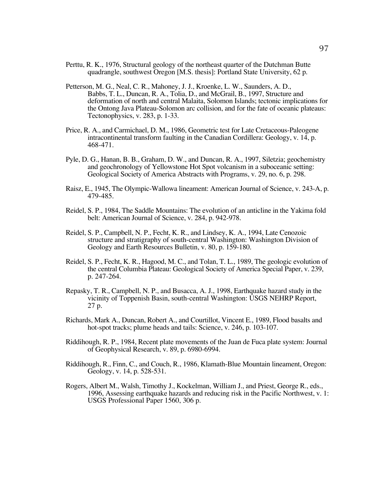- Perttu, R. K., 1976, Structural geology of the northeast quarter of the Dutchman Butte quadrangle, southwest Oregon [M.S. thesis]: Portland State University, 62 p.
- Petterson, M. G., Neal, C. R., Mahoney, J. J., Kroenke, L. W., Saunders, A. D., Babbs, T. L., Duncan, R. A., Tolia, D., and McGrail, B., 1997, Structure and deformation of north and central Malaita, Solomon Islands; tectonic implications for the Ontong Java Plateau-Solomon arc collision, and for the fate of oceanic plateaus: Tectonophysics, v. 283, p. 1-33.
- Price, R. A., and Carmichael, D. M., 1986, Geometric test for Late Cretaceous-Paleogene intracontinental transform faulting in the Canadian Cordillera: Geology, v. 14, p. 468-471.
- Pyle, D. G., Hanan, B. B., Graham, D. W., and Duncan, R. A., 1997, Siletzia; geochemistry and geochronology of Yellowstone Hot Spot volcanism in a suboceanic setting: Geological Society of America Abstracts with Programs, v. 29, no. 6, p. 298.
- Raisz, E., 1945, The Olympic-Wallowa lineament: American Journal of Science, v. 243-A, p. 479-485.
- Reidel, S. P., 1984, The Saddle Mountains: The evolution of an anticline in the Yakima fold belt: American Journal of Science, v. 284, p. 942-978.
- Reidel, S. P., Campbell, N. P., Fecht, K. R., and Lindsey, K. A., 1994, Late Cenozoic structure and stratigraphy of south-central Washington: Washington Division of Geology and Earth Resources Bulletin, v. 80, p. 159-180.
- Reidel, S. P., Fecht, K. R., Hagood, M. C., and Tolan, T. L., 1989, The geologic evolution of the central Columbia Plateau: Geological Society of America Special Paper, v. 239, p. 247-264.
- Repasky, T. R., Campbell, N. P., and Busacca, A. J., 1998, Earthquake hazard study in the vicinity of Toppenish Basin, south-central Washington: USGS NEHRP Report, 27 p.
- Richards, Mark A., Duncan, Robert A., and Courtillot, Vincent E., 1989, Flood basalts and hot-spot tracks; plume heads and tails: Science, v. 246, p. 103-107.
- Riddihough, R. P., 1984, Recent plate movements of the Juan de Fuca plate system: Journal of Geophysical Research, v. 89, p. 6980-6994.
- Riddihough, R., Finn, C., and Couch, R., 1986, Klamath-Blue Mountain lineament, Oregon: Geology, v. 14, p. 528-531.
- Rogers, Albert M., Walsh, Timothy J., Kockelman, William J., and Priest, George R., eds., 1996, Assessing earthquake hazards and reducing risk in the Pacific Northwest, v. 1: USGS Professional Paper 1560, 306 p.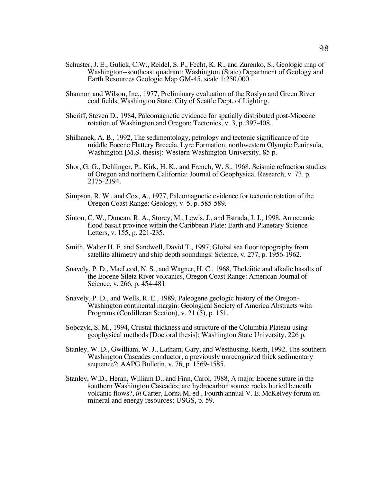- Schuster, J. E., Gulick, C.W., Reidel, S. P., Fecht, K. R., and Zurenko, S., Geologic map of Washington--southeast quadrant: Washington (State) Department of Geology and Earth Resources Geologic Map GM-45, scale 1:250,000.
- Shannon and Wilson, Inc., 1977, Preliminary evaluation of the Roslyn and Green River coal fields, Washington State: City of Seattle Dept. of Lighting.
- Sheriff, Steven D., 1984, Paleomagnetic evidence for spatially distributed post-Miocene rotation of Washington and Oregon: Tectonics, v. 3, p. 397-408.
- Shilhanek, A. B., 1992, The sedimentology, petrology and tectonic significance of the middle Eocene Flattery Breccia, Lyre Formation, northwestern Olympic Peninsula, Washington [M.S. thesis]: Western Washington University, 85 p.
- Shor, G. G., Dehlinger, P., Kirk, H. K., and French, W. S., 1968, Seismic refraction studies of Oregon and northern California: Journal of Geophysical Research, v. 73, p. 2175-2194.
- Simpson, R. W., and Cox, A., 1977, Paleomagnetic evidence for tectonic rotation of the Oregon Coast Range: Geology, v. 5, p. 585-589.
- Sinton, C. W., Duncan, R. A., Storey, M., Lewis, J., and Estrada, J. J., 1998, An oceanic flood basalt province within the Caribbean Plate: Earth and Planetary Science Letters, v. 155, p. 221-235.
- Smith, Walter H. F. and Sandwell, David T., 1997, Global sea floor topography from satellite altimetry and ship depth soundings: Science, v. 277, p. 1956-1962.
- Snavely, P. D., MacLeod, N. S., and Wagner, H. C., 1968, Tholeiitic and alkalic basalts of the Eocene Siletz River volcanics, Oregon Coast Range: American Journal of Science, v. 266, p. 454-481.
- Snavely, P. D., and Wells, R. E., 1989, Paleogene geologic history of the Oregon-Washington continental margin: Geological Society of America Abstracts with Programs (Cordilleran Section), v. 21 (5), p. 151.
- Sobczyk, S. M., 1994, Crustal thickness and structure of the Columbia Plateau using geophysical methods [Doctoral thesis]: Washington State University, 226 p.
- Stanley, W. D., Gwilliam, W. J., Latham, Gary, and Westhusing, Keith, 1992, The southern Washington Cascades conductor; a previously unrecognized thick sedimentary sequence?: AAPG Bulletin, v. 76, p. 1569-1585.
- Stanley, W.D., Heran, William D., and Finn, Carol, 1988, A major Eocene suture in the southern Washington Cascades; are hydrocarbon source rocks buried beneath volcanic flows?, *in* Carter, Lorna M, ed., Fourth annual V. E. McKelvey forum on mineral and energy resources: USGS, p. 59.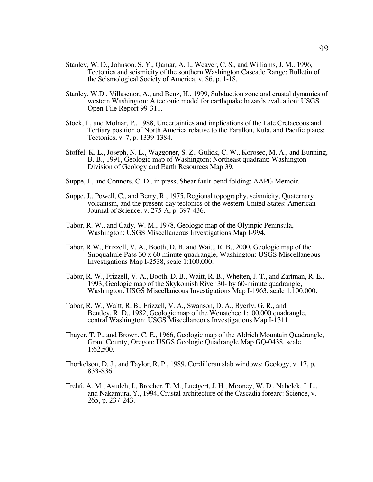- Stanley, W. D., Johnson, S. Y., Qamar, A. I., Weaver, C. S., and Williams, J. M., 1996, Tectonics and seismicity of the southern Washington Cascade Range: Bulletin of the Seismological Society of America, v. 86, p. 1-18.
- Stanley, W.D., Villasenor, A., and Benz, H., 1999, Subduction zone and crustal dynamics of western Washington: A tectonic model for earthquake hazards evaluation: USGS Open-File Report 99-311.
- Stock, J., and Molnar, P., 1988, Uncertainties and implications of the Late Cretaceous and Tertiary position of North America relative to the Farallon, Kula, and Pacific plates: Tectonics, v. 7, p. 1339-1384.
- Stoffel, K. L., Joseph, N. L., Waggoner, S. Z., Gulick, C. W., Korosec, M. A., and Bunning, B. B., 1991, Geologic map of Washington; Northeast quadrant: Washington Division of Geology and Earth Resources Map 39.
- Suppe, J., and Connors, C. D., in press, Shear fault-bend folding: AAPG Memoir.
- Suppe, J., Powell, C., and Berry, R., 1975, Regional topography, seismicity, Quaternary volcanism, and the present-day tectonics of the western United States: American Journal of Science, v. 275-A, p. 397-436.
- Tabor, R. W., and Cady, W. M., 1978, Geologic map of the Olympic Peninsula, Washington: USGS Miscellaneous Investigations Map I-994.
- Tabor, R.W., Frizzell, V. A., Booth, D. B. and Waitt, R. B., 2000, Geologic map of the Snoqualmie Pass 30 x 60 minute quadrangle, Washington: USGS Miscellaneous Investigations Map I-2538, scale 1:100.000.
- Tabor, R. W., Frizzell, V. A., Booth, D. B., Waitt, R. B., Whetten, J. T., and Zartman, R. E., 1993, Geologic map of the Skykomish River 30- by 60-minute quadrangle, Washington: USGS Miscellaneous Investigations Map I-1963, scale 1:100:000.
- Tabor, R. W., Waitt, R. B., Frizzell, V. A., Swanson, D. A., Byerly, G. R., and Bentley, R. D., 1982, Geologic map of the Wenatchee 1:100,000 quadrangle, central Washington: USGS Miscellaneous Investigations Map I-1311.
- Thayer, T. P., and Brown, C. E., 1966, Geologic map of the Aldrich Mountain Quadrangle, Grant County, Oregon: USGS Geologic Quadrangle Map GQ-0438, scale 1:62,500.
- Thorkelson, D. J., and Taylor, R. P., 1989, Cordilleran slab windows: Geology, v. 17, p. 833-836.
- Trehú, A. M., Asudeh, I., Brocher, T. M., Luetgert, J. H., Mooney, W. D., Nabelek, J. L., and Nakamura, Y., 1994, Crustal architecture of the Cascadia forearc: Science, v. 265, p. 237-243.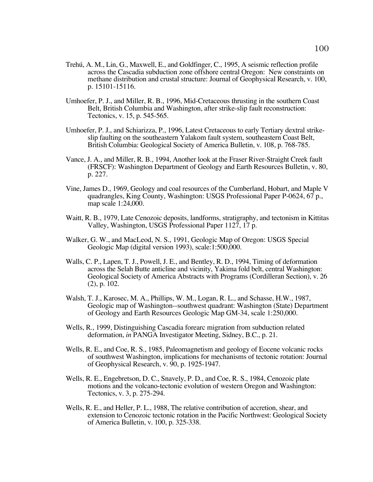- Trehú, A. M., Lin, G., Maxwell, E., and Goldfinger, C., 1995, A seismic reflection profile across the Cascadia subduction zone offshore central Oregon: New constraints on methane distribution and crustal structure: Journal of Geophysical Research, v. 100, p. 15101-15116.
- Umhoefer, P. J., and Miller, R. B., 1996, Mid-Cretaceous thrusting in the southern Coast Belt, British Columbia and Washington, after strike-slip fault reconstruction: Tectonics, v. 15, p. 545-565.
- Umhoefer, P. J., and Schiarizza, P., 1996, Latest Cretaceous to early Tertiary dextral strikeslip faulting on the southeastern Yalakom fault system, southeastern Coast Belt, British Columbia: Geological Society of America Bulletin, v. 108, p. 768-785.
- Vance, J. A., and Miller, R. B., 1994, Another look at the Fraser River-Straight Creek fault (FRSCF): Washington Department of Geology and Earth Resources Bulletin, v. 80, p. 227.
- Vine, James D., 1969, Geology and coal resources of the Cumberland, Hobart, and Maple V quadrangles, King County, Washington: USGS Professional Paper P-0624, 67 p., map scale 1:24,000.
- Waitt, R. B., 1979, Late Cenozoic deposits, landforms, stratigraphy, and tectonism in Kittitas Valley, Washington, USGS Professional Paper 1127, 17 p.
- Walker, G. W., and MacLeod, N. S., 1991, Geologic Map of Oregon: USGS Special Geologic Map (digital version 1993), scale:1:500,000.
- Walls, C. P., Lapen, T. J., Powell, J. E., and Bentley, R. D., 1994, Timing of deformation across the Selah Butte anticline and vicinity, Yakima fold belt, central Washington: Geological Society of America Abstracts with Programs (Cordilleran Section), v. 26 (2), p. 102.
- Walsh, T. J., Karosec, M. A., Phillips, W. M., Logan, R. L., and Schasse, H.W., 1987, Geologic map of Washington--southwest quadrant: Washington (State) Department of Geology and Earth Resources Geologic Map GM-34, scale 1:250,000.
- Wells, R., 1999, Distinguishing Cascadia forearc migration from subduction related deformation, *in* PANGA Investigator Meeting, Sidney, B.C., p. 21.
- Wells, R. E., and Coe, R. S., 1985, Paleomagnetism and geology of Eocene volcanic rocks of southwest Washington, implications for mechanisms of tectonic rotation: Journal of Geophysical Research, v. 90, p. 1925-1947.
- Wells, R. E., Engebretson, D. C., Snavely, P. D., and Coe, R. S., 1984, Cenozoic plate motions and the volcano-tectonic evolution of western Oregon and Washington: Tectonics, v. 3, p. 275-294.
- Wells, R. E., and Heller, P. L., 1988, The relative contribution of accretion, shear, and extension to Cenozoic tectonic rotation in the Pacific Northwest: Geological Society of America Bulletin, v. 100, p. 325-338.